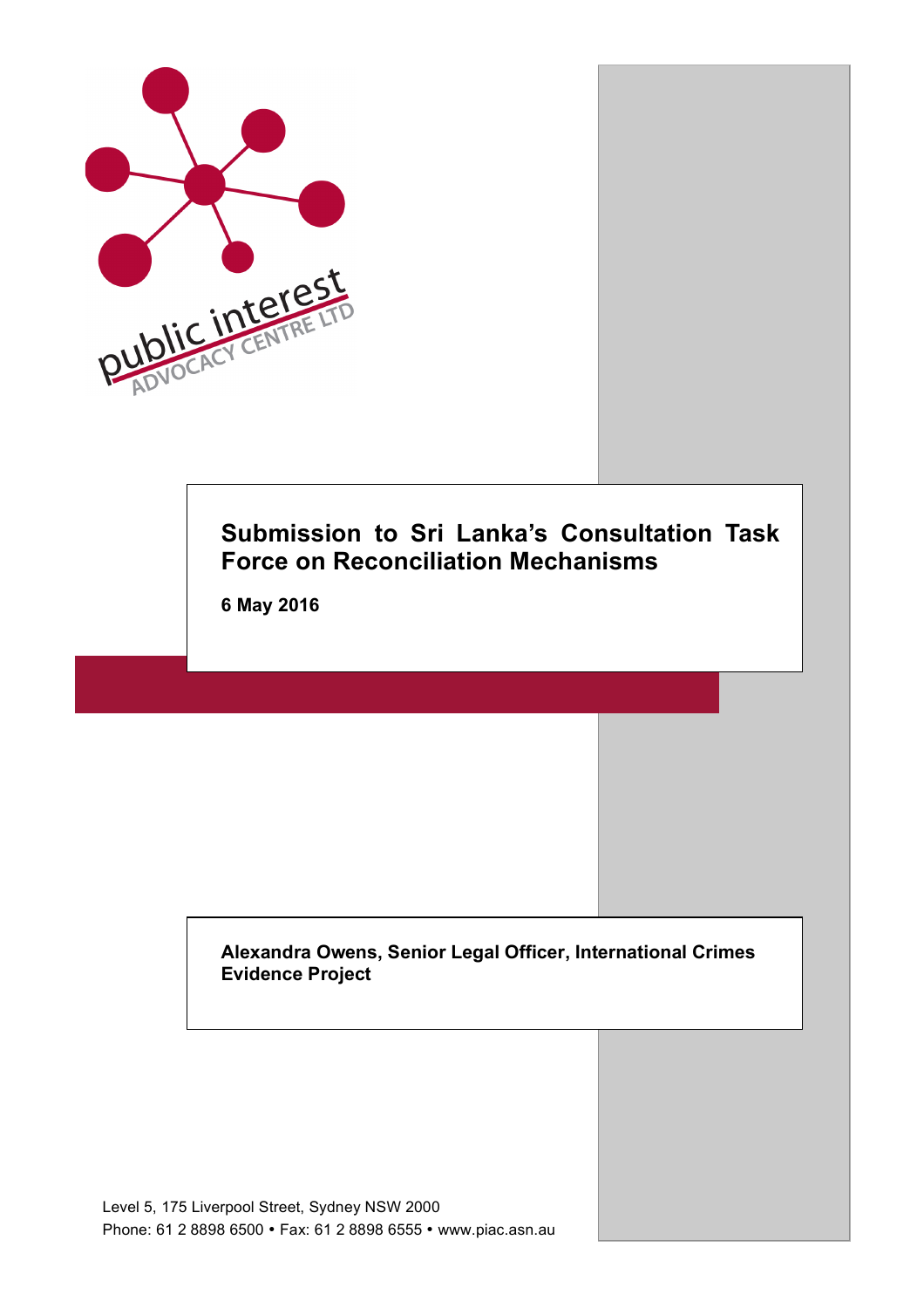

# **Submission to Sri Lanka's Consultation Task Force on Reconciliation Mechanisms**

**6 May 2016**

**Alexandra Owens, Senior Legal Officer, International Crimes Evidence Project**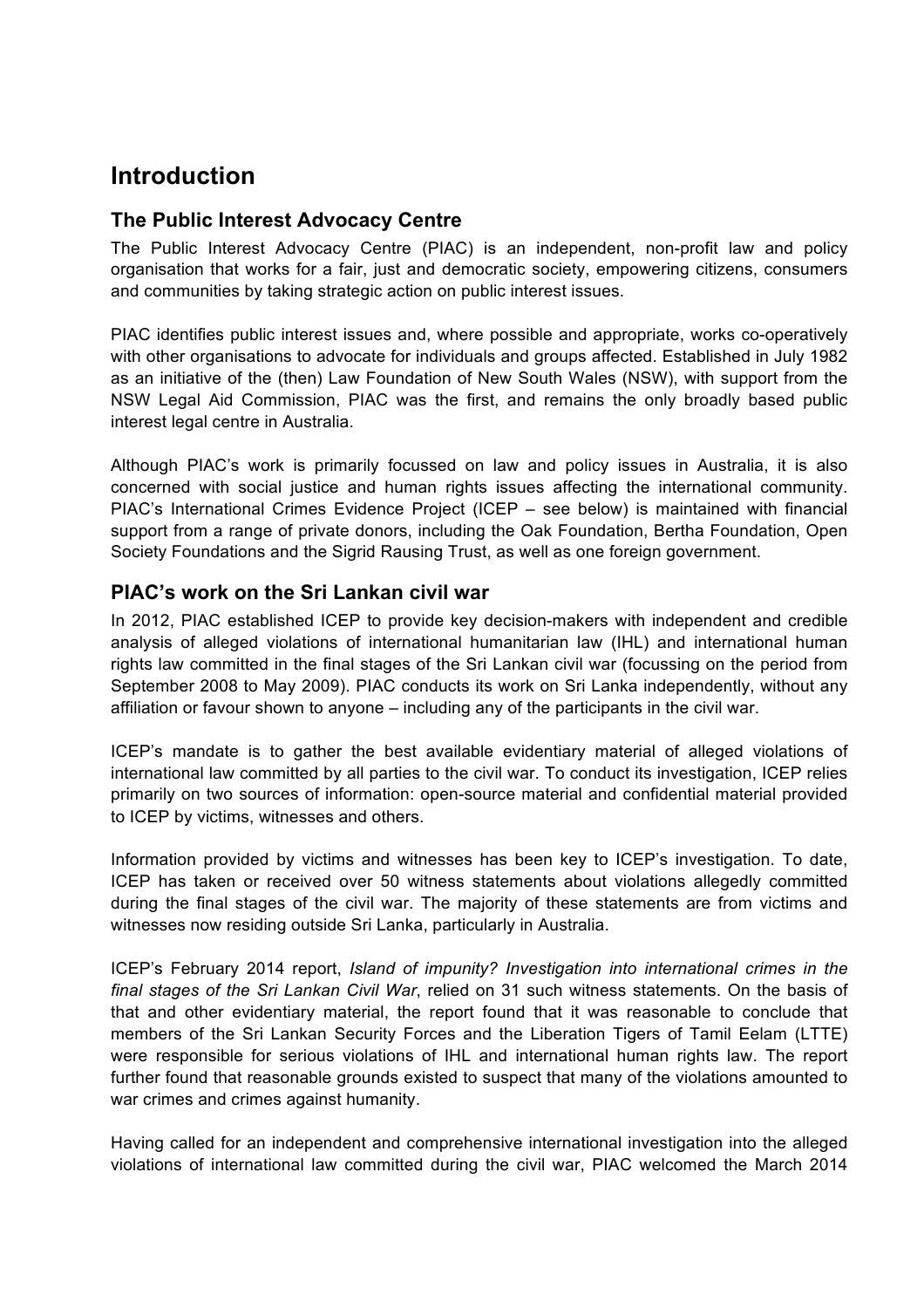# **Introduction**

# **The Public Interest Advocacy Centre**

The Public Interest Advocacy Centre (PIAC) is an independent, non-profit law and policy organisation that works for a fair, just and democratic society, empowering citizens, consumers and communities by taking strategic action on public interest issues.

PIAC identifies public interest issues and, where possible and appropriate, works co-operatively with other organisations to advocate for individuals and groups affected. Established in July 1982 as an initiative of the (then) Law Foundation of New South Wales (NSW), with support from the NSW Legal Aid Commission, PIAC was the first, and remains the only broadly based public interest legal centre in Australia.

Although PIAC's work is primarily focussed on law and policy issues in Australia, it is also concerned with social justice and human rights issues affecting the international community. PIAC's International Crimes Evidence Project (ICEP – see below) is maintained with financial support from a range of private donors, including the Oak Foundation, Bertha Foundation, Open Society Foundations and the Sigrid Rausing Trust, as well as one foreign government.

# **PIAC's work on the Sri Lankan civil war**

In 2012, PIAC established ICEP to provide key decision-makers with independent and credible analysis of alleged violations of international humanitarian law (IHL) and international human rights law committed in the final stages of the Sri Lankan civil war (focussing on the period from September 2008 to May 2009). PIAC conducts its work on Sri Lanka independently, without any affiliation or favour shown to anyone – including any of the participants in the civil war.

ICEP's mandate is to gather the best available evidentiary material of alleged violations of international law committed by all parties to the civil war. To conduct its investigation, ICEP relies primarily on two sources of information: open-source material and confidential material provided to ICEP by victims, witnesses and others.

Information provided by victims and witnesses has been key to ICEP's investigation. To date, ICEP has taken or received over 50 witness statements about violations allegedly committed during the final stages of the civil war. The majority of these statements are from victims and witnesses now residing outside Sri Lanka, particularly in Australia.

ICEP's February 2014 report, *Island of impunity? Investigation into international crimes in the final stages of the Sri Lankan Civil War*, relied on 31 such witness statements. On the basis of that and other evidentiary material, the report found that it was reasonable to conclude that members of the Sri Lankan Security Forces and the Liberation Tigers of Tamil Eelam (LTTE) were responsible for serious violations of IHL and international human rights law. The report further found that reasonable grounds existed to suspect that many of the violations amounted to war crimes and crimes against humanity.

Having called for an independent and comprehensive international investigation into the alleged violations of international law committed during the civil war, PIAC welcomed the March 2014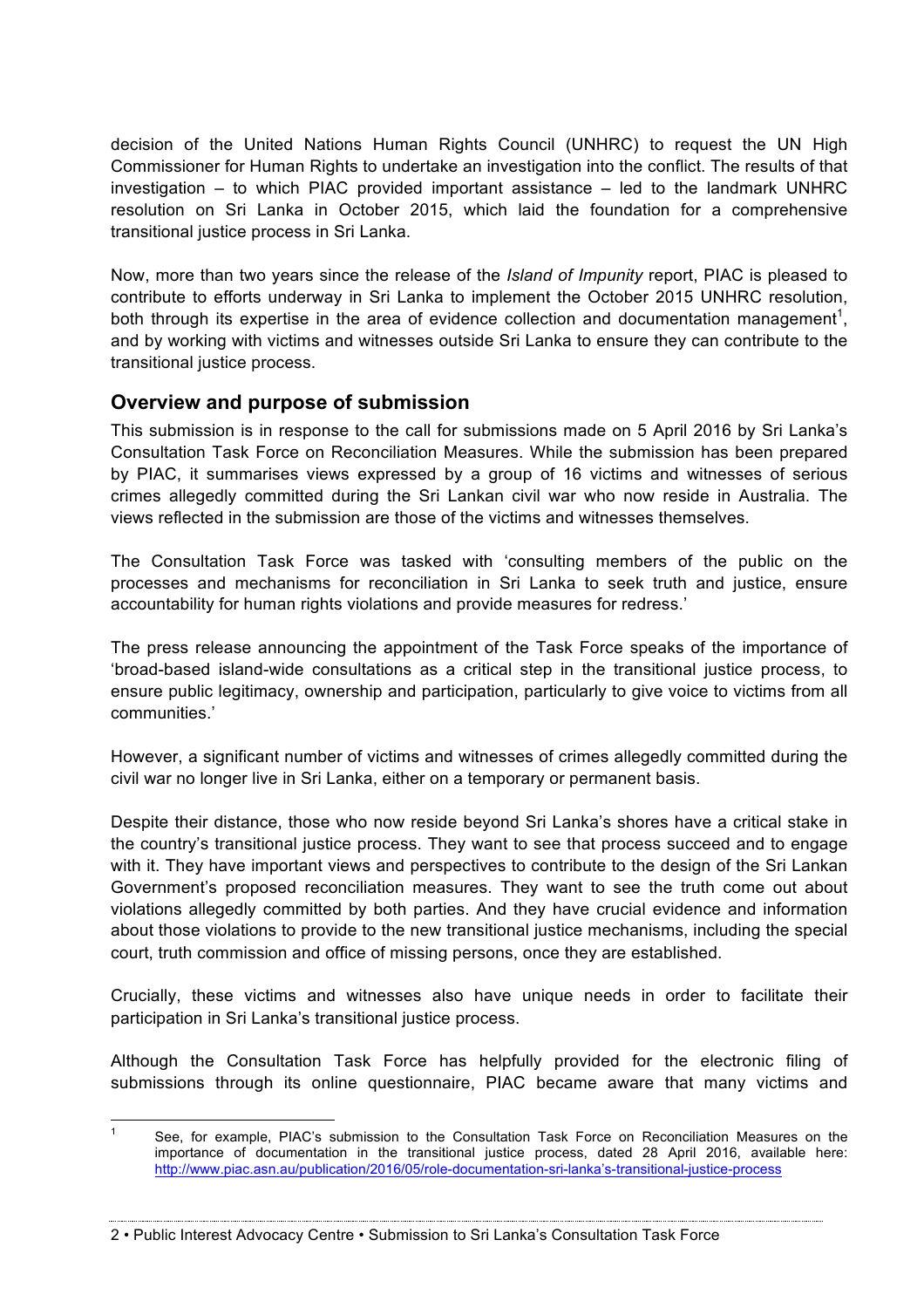decision of the United Nations Human Rights Council (UNHRC) to request the UN High Commissioner for Human Rights to undertake an investigation into the conflict. The results of that investigation – to which PIAC provided important assistance – led to the landmark UNHRC resolution on Sri Lanka in October 2015, which laid the foundation for a comprehensive transitional justice process in Sri Lanka.

Now, more than two years since the release of the *Island of Impunity* report, PIAC is pleased to contribute to efforts underway in Sri Lanka to implement the October 2015 UNHRC resolution, both through its expertise in the area of evidence collection and documentation management<sup>1</sup>, and by working with victims and witnesses outside Sri Lanka to ensure they can contribute to the transitional justice process.

# **Overview and purpose of submission**

This submission is in response to the call for submissions made on 5 April 2016 by Sri Lanka's Consultation Task Force on Reconciliation Measures. While the submission has been prepared by PIAC, it summarises views expressed by a group of 16 victims and witnesses of serious crimes allegedly committed during the Sri Lankan civil war who now reside in Australia. The views reflected in the submission are those of the victims and witnesses themselves.

The Consultation Task Force was tasked with 'consulting members of the public on the processes and mechanisms for reconciliation in Sri Lanka to seek truth and justice, ensure accountability for human rights violations and provide measures for redress.'

The press release announcing the appointment of the Task Force speaks of the importance of 'broad-based island-wide consultations as a critical step in the transitional justice process, to ensure public legitimacy, ownership and participation, particularly to give voice to victims from all communities.'

However, a significant number of victims and witnesses of crimes allegedly committed during the civil war no longer live in Sri Lanka, either on a temporary or permanent basis.

Despite their distance, those who now reside beyond Sri Lanka's shores have a critical stake in the country's transitional justice process. They want to see that process succeed and to engage with it. They have important views and perspectives to contribute to the design of the Sri Lankan Government's proposed reconciliation measures. They want to see the truth come out about violations allegedly committed by both parties. And they have crucial evidence and information about those violations to provide to the new transitional justice mechanisms, including the special court, truth commission and office of missing persons, once they are established.

Crucially, these victims and witnesses also have unique needs in order to facilitate their participation in Sri Lanka's transitional justice process.

Although the Consultation Task Force has helpfully provided for the electronic filing of submissions through its online questionnaire, PIAC became aware that many victims and

2 • Public Interest Advocacy Centre • Submission to Sri Lanka's Consultation Task Force

 <sup>1</sup> See, for example, PIAC's submission to the Consultation Task Force on Reconciliation Measures on the importance of documentation in the transitional justice process, dated 28 April 2016, available here: http://www.piac.asn.au/publication/2016/05/role-documentation-sri-lanka's-transitional-justice-process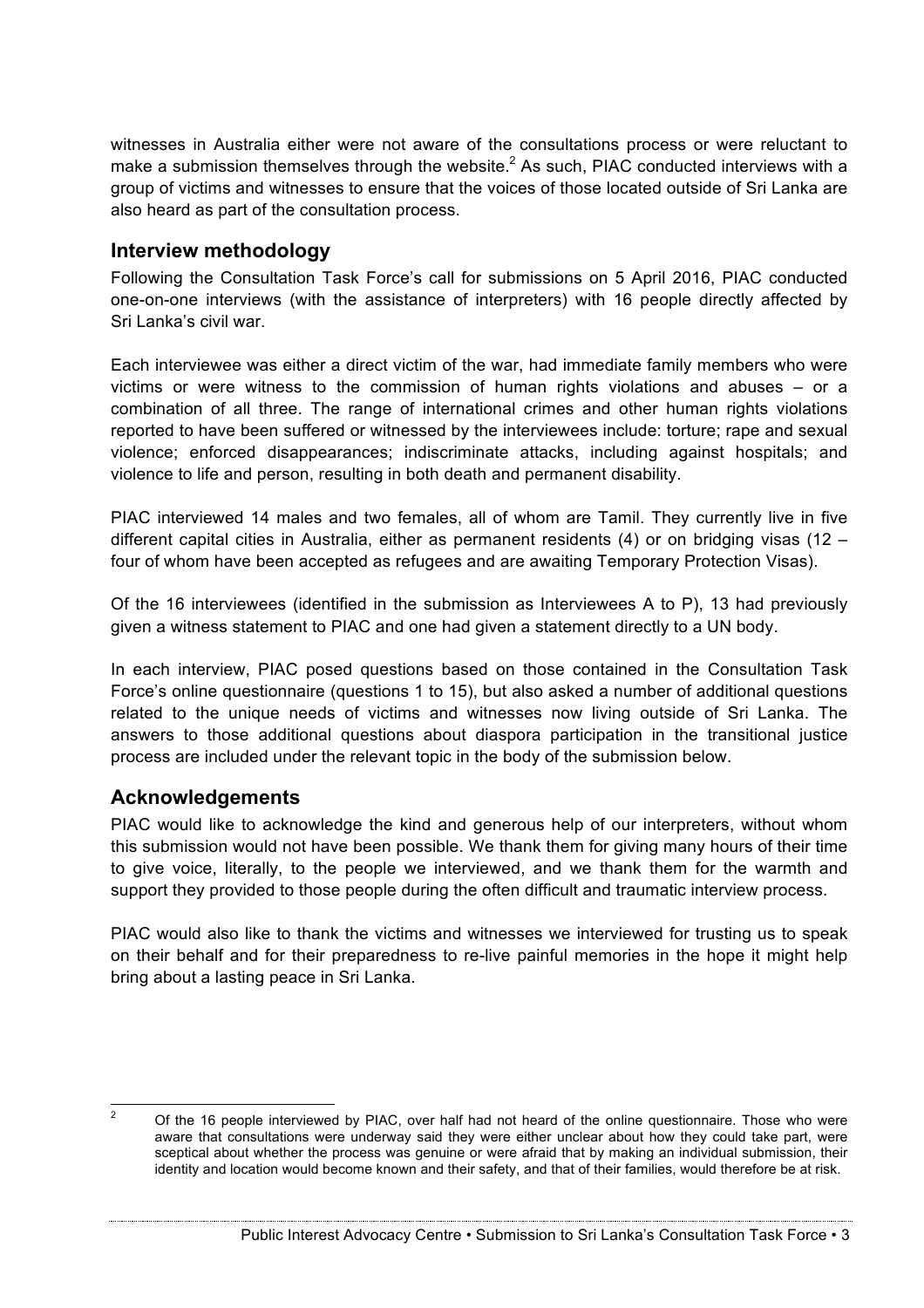witnesses in Australia either were not aware of the consultations process or were reluctant to make a submission themselves through the website. $^2$  As such, PIAC conducted interviews with a group of victims and witnesses to ensure that the voices of those located outside of Sri Lanka are also heard as part of the consultation process.

# **Interview methodology**

Following the Consultation Task Force's call for submissions on 5 April 2016, PIAC conducted one-on-one interviews (with the assistance of interpreters) with 16 people directly affected by Sri Lanka's civil war.

Each interviewee was either a direct victim of the war, had immediate family members who were victims or were witness to the commission of human rights violations and abuses – or a combination of all three. The range of international crimes and other human rights violations reported to have been suffered or witnessed by the interviewees include: torture; rape and sexual violence; enforced disappearances; indiscriminate attacks, including against hospitals; and violence to life and person, resulting in both death and permanent disability.

PIAC interviewed 14 males and two females, all of whom are Tamil. They currently live in five different capital cities in Australia, either as permanent residents (4) or on bridging visas (12 – four of whom have been accepted as refugees and are awaiting Temporary Protection Visas).

Of the 16 interviewees (identified in the submission as Interviewees A to P), 13 had previously given a witness statement to PIAC and one had given a statement directly to a UN body.

In each interview, PIAC posed questions based on those contained in the Consultation Task Force's online questionnaire (questions 1 to 15), but also asked a number of additional questions related to the unique needs of victims and witnesses now living outside of Sri Lanka. The answers to those additional questions about diaspora participation in the transitional justice process are included under the relevant topic in the body of the submission below.

# **Acknowledgements**

PIAC would like to acknowledge the kind and generous help of our interpreters, without whom this submission would not have been possible. We thank them for giving many hours of their time to give voice, literally, to the people we interviewed, and we thank them for the warmth and support they provided to those people during the often difficult and traumatic interview process.

PIAC would also like to thank the victims and witnesses we interviewed for trusting us to speak on their behalf and for their preparedness to re-live painful memories in the hope it might help bring about a lasting peace in Sri Lanka.

<sup>&</sup>lt;sup>2</sup> Of the 16 people interviewed by PIAC, over half had not heard of the online questionnaire. Those who were aware that consultations were underway said they were either unclear about how they could take part, were sceptical about whether the process was genuine or were afraid that by making an individual submission, their identity and location would become known and their safety, and that of their families, would therefore be at risk.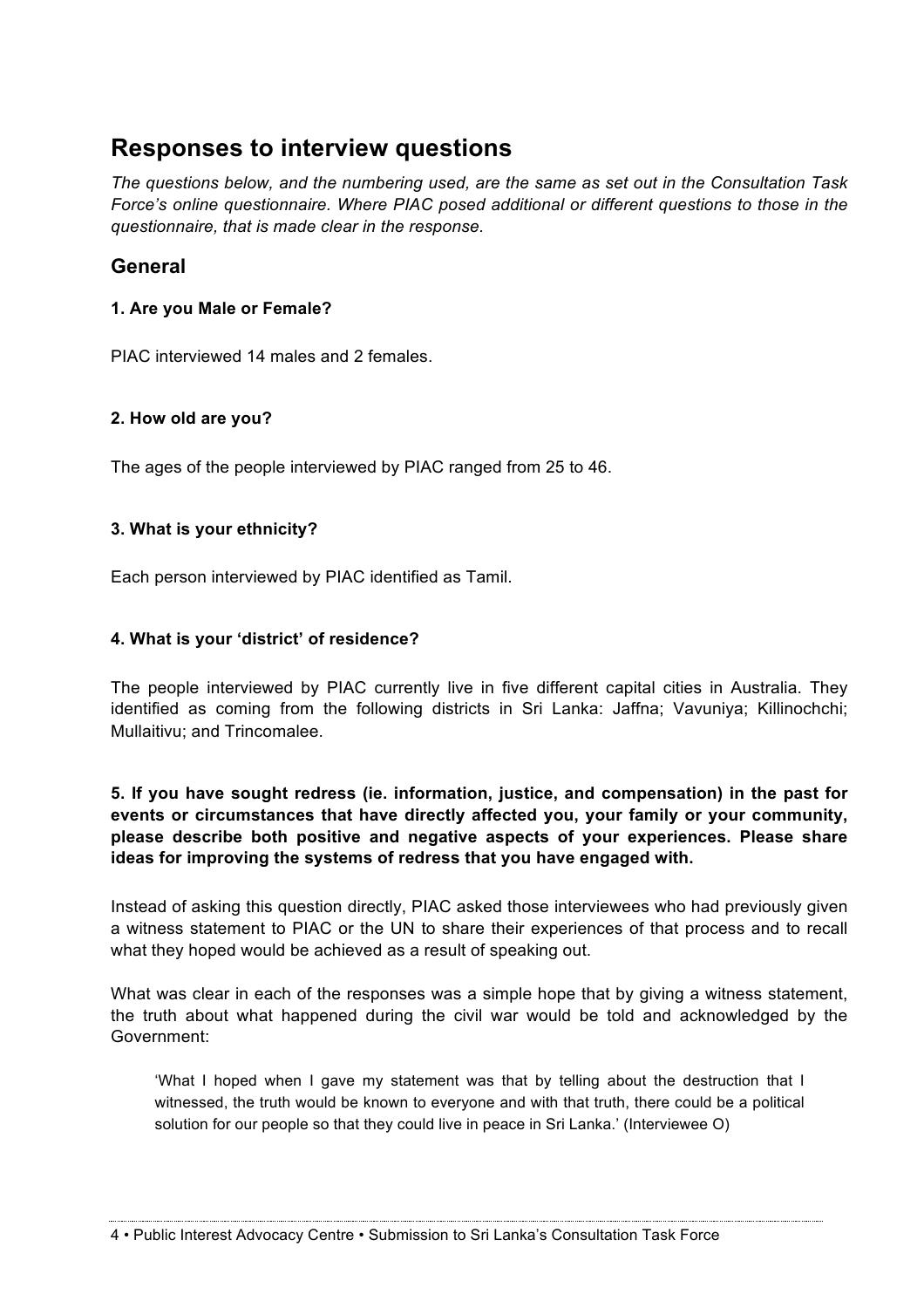# **Responses to interview questions**

*The questions below, and the numbering used, are the same as set out in the Consultation Task Force's online questionnaire. Where PIAC posed additional or different questions to those in the questionnaire, that is made clear in the response.*

# **General**

## **1. Are you Male or Female?**

PIAC interviewed 14 males and 2 females.

## **2. How old are you?**

The ages of the people interviewed by PIAC ranged from 25 to 46.

## **3. What is your ethnicity?**

Each person interviewed by PIAC identified as Tamil.

## **4. What is your 'district' of residence?**

The people interviewed by PIAC currently live in five different capital cities in Australia. They identified as coming from the following districts in Sri Lanka: Jaffna; Vavuniya; Killinochchi; Mullaitivu; and Trincomalee.

**5. If you have sought redress (ie. information, justice, and compensation) in the past for events or circumstances that have directly affected you, your family or your community, please describe both positive and negative aspects of your experiences. Please share ideas for improving the systems of redress that you have engaged with.**

Instead of asking this question directly, PIAC asked those interviewees who had previously given a witness statement to PIAC or the UN to share their experiences of that process and to recall what they hoped would be achieved as a result of speaking out.

What was clear in each of the responses was a simple hope that by giving a witness statement, the truth about what happened during the civil war would be told and acknowledged by the Government:

'What I hoped when I gave my statement was that by telling about the destruction that I witnessed, the truth would be known to everyone and with that truth, there could be a political solution for our people so that they could live in peace in Sri Lanka.' (Interviewee O)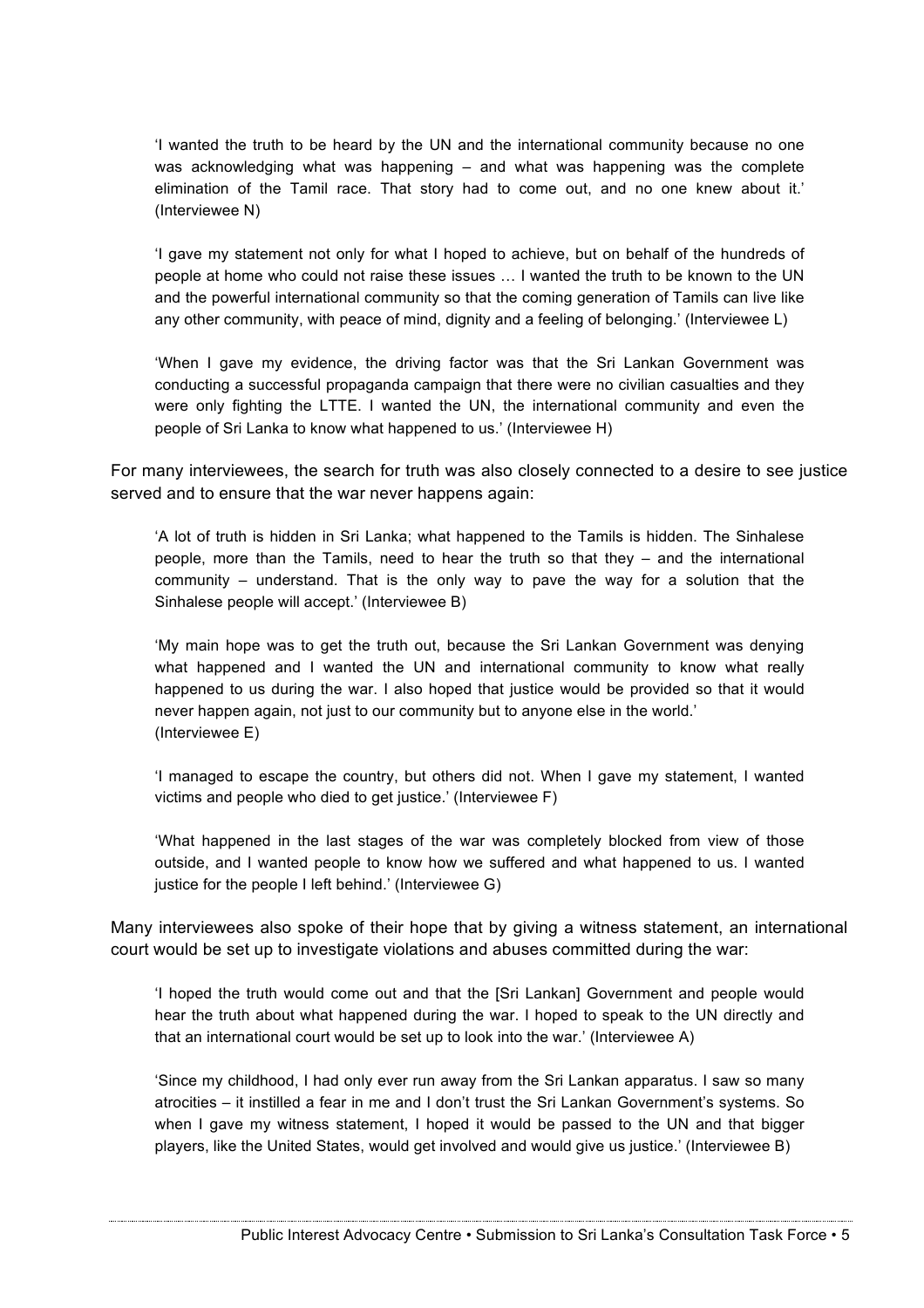'I wanted the truth to be heard by the UN and the international community because no one was acknowledging what was happening – and what was happening was the complete elimination of the Tamil race. That story had to come out, and no one knew about it.' (Interviewee N)

'I gave my statement not only for what I hoped to achieve, but on behalf of the hundreds of people at home who could not raise these issues … I wanted the truth to be known to the UN and the powerful international community so that the coming generation of Tamils can live like any other community, with peace of mind, dignity and a feeling of belonging.' (Interviewee L)

'When I gave my evidence, the driving factor was that the Sri Lankan Government was conducting a successful propaganda campaign that there were no civilian casualties and they were only fighting the LTTE. I wanted the UN, the international community and even the people of Sri Lanka to know what happened to us.' (Interviewee H)

For many interviewees, the search for truth was also closely connected to a desire to see justice served and to ensure that the war never happens again:

'A lot of truth is hidden in Sri Lanka; what happened to the Tamils is hidden. The Sinhalese people, more than the Tamils, need to hear the truth so that they – and the international community – understand. That is the only way to pave the way for a solution that the Sinhalese people will accept.' (Interviewee B)

'My main hope was to get the truth out, because the Sri Lankan Government was denying what happened and I wanted the UN and international community to know what really happened to us during the war. I also hoped that justice would be provided so that it would never happen again, not just to our community but to anyone else in the world.' (Interviewee E)

'I managed to escape the country, but others did not. When I gave my statement, I wanted victims and people who died to get justice.' (Interviewee F)

'What happened in the last stages of the war was completely blocked from view of those outside, and I wanted people to know how we suffered and what happened to us. I wanted justice for the people I left behind.' (Interviewee G)

Many interviewees also spoke of their hope that by giving a witness statement, an international court would be set up to investigate violations and abuses committed during the war:

'I hoped the truth would come out and that the [Sri Lankan] Government and people would hear the truth about what happened during the war. I hoped to speak to the UN directly and that an international court would be set up to look into the war.' (Interviewee A)

'Since my childhood, I had only ever run away from the Sri Lankan apparatus. I saw so many atrocities – it instilled a fear in me and I don't trust the Sri Lankan Government's systems. So when I gave my witness statement, I hoped it would be passed to the UN and that bigger players, like the United States, would get involved and would give us justice.' (Interviewee B)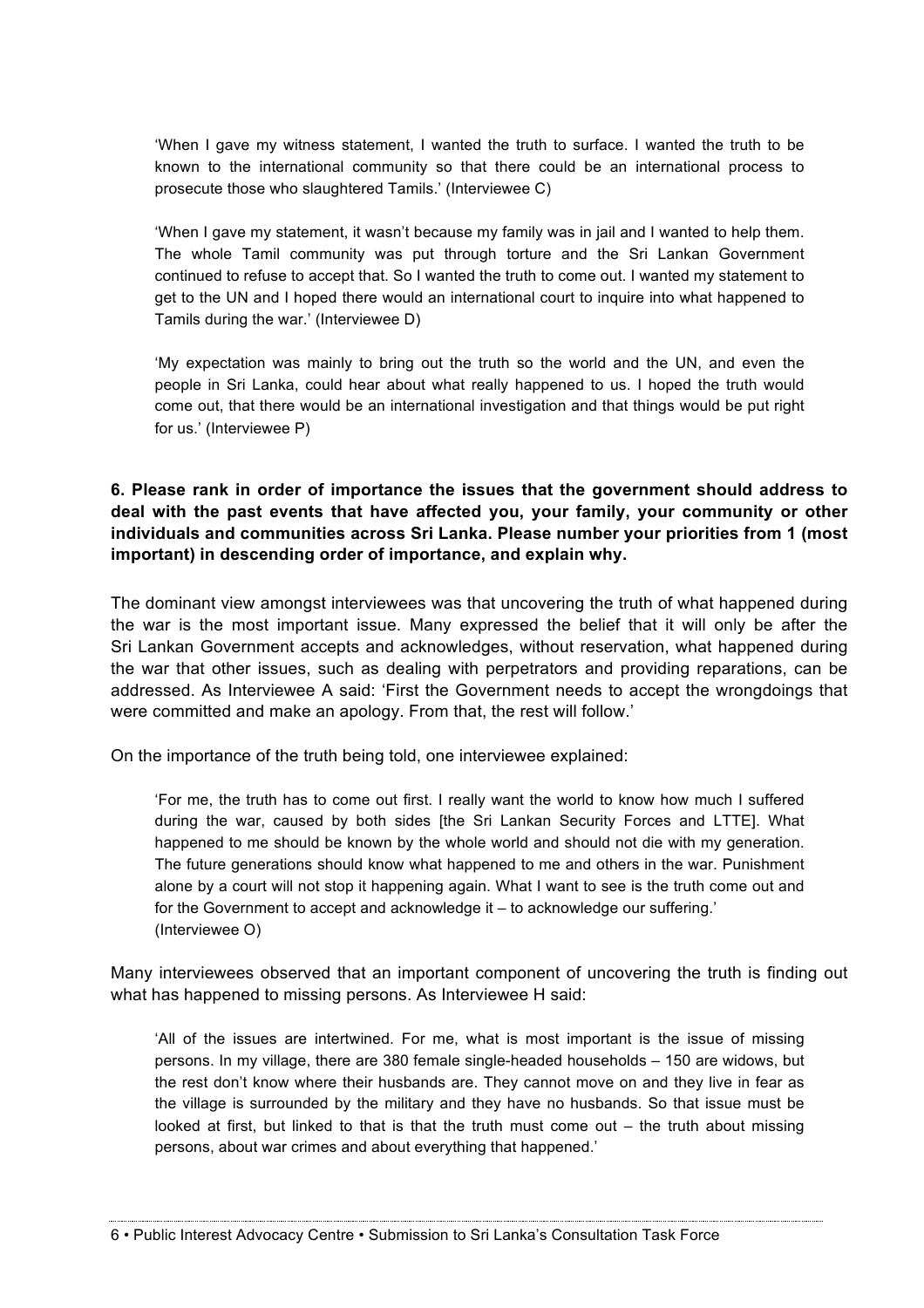'When I gave my witness statement, I wanted the truth to surface. I wanted the truth to be known to the international community so that there could be an international process to prosecute those who slaughtered Tamils.' (Interviewee C)

'When I gave my statement, it wasn't because my family was in jail and I wanted to help them. The whole Tamil community was put through torture and the Sri Lankan Government continued to refuse to accept that. So I wanted the truth to come out. I wanted my statement to get to the UN and I hoped there would an international court to inquire into what happened to Tamils during the war.' (Interviewee D)

'My expectation was mainly to bring out the truth so the world and the UN, and even the people in Sri Lanka, could hear about what really happened to us. I hoped the truth would come out, that there would be an international investigation and that things would be put right for us.' (Interviewee P)

## **6. Please rank in order of importance the issues that the government should address to deal with the past events that have affected you, your family, your community or other individuals and communities across Sri Lanka. Please number your priorities from 1 (most important) in descending order of importance, and explain why.**

The dominant view amongst interviewees was that uncovering the truth of what happened during the war is the most important issue. Many expressed the belief that it will only be after the Sri Lankan Government accepts and acknowledges, without reservation, what happened during the war that other issues, such as dealing with perpetrators and providing reparations, can be addressed. As Interviewee A said: 'First the Government needs to accept the wrongdoings that were committed and make an apology. From that, the rest will follow.'

On the importance of the truth being told, one interviewee explained:

'For me, the truth has to come out first. I really want the world to know how much I suffered during the war, caused by both sides [the Sri Lankan Security Forces and LTTE]. What happened to me should be known by the whole world and should not die with my generation. The future generations should know what happened to me and others in the war. Punishment alone by a court will not stop it happening again. What I want to see is the truth come out and for the Government to accept and acknowledge it – to acknowledge our suffering.' (Interviewee O)

Many interviewees observed that an important component of uncovering the truth is finding out what has happened to missing persons. As Interviewee H said:

'All of the issues are intertwined. For me, what is most important is the issue of missing persons. In my village, there are 380 female single-headed households – 150 are widows, but the rest don't know where their husbands are. They cannot move on and they live in fear as the village is surrounded by the military and they have no husbands. So that issue must be looked at first, but linked to that is that the truth must come out – the truth about missing persons, about war crimes and about everything that happened.'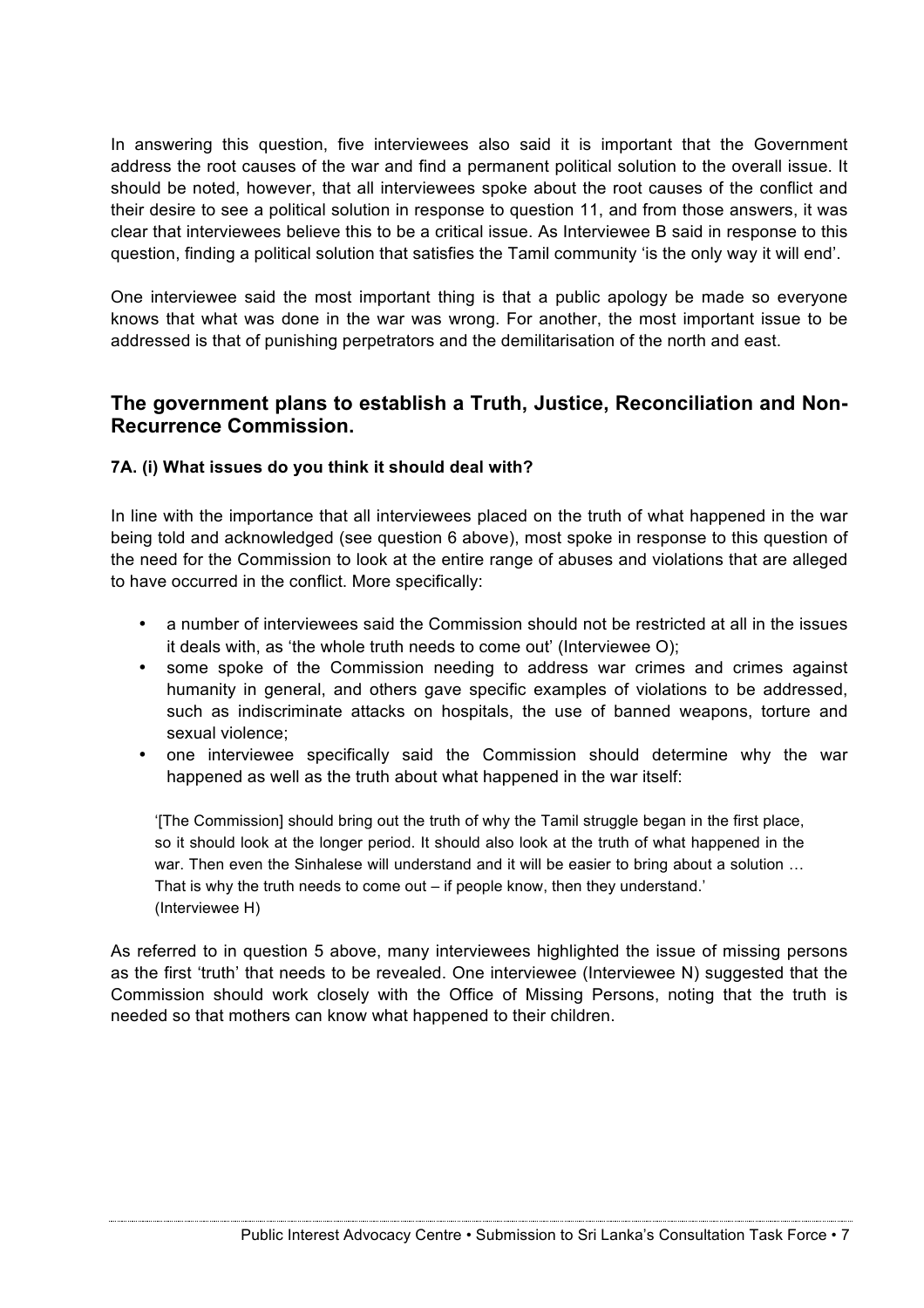In answering this question, five interviewees also said it is important that the Government address the root causes of the war and find a permanent political solution to the overall issue. It should be noted, however, that all interviewees spoke about the root causes of the conflict and their desire to see a political solution in response to question 11, and from those answers, it was clear that interviewees believe this to be a critical issue. As Interviewee B said in response to this question, finding a political solution that satisfies the Tamil community 'is the only way it will end'.

One interviewee said the most important thing is that a public apology be made so everyone knows that what was done in the war was wrong. For another, the most important issue to be addressed is that of punishing perpetrators and the demilitarisation of the north and east.

# **The government plans to establish a Truth, Justice, Reconciliation and Non-Recurrence Commission.**

## **7A. (i) What issues do you think it should deal with?**

In line with the importance that all interviewees placed on the truth of what happened in the war being told and acknowledged (see question 6 above), most spoke in response to this question of the need for the Commission to look at the entire range of abuses and violations that are alleged to have occurred in the conflict. More specifically:

- a number of interviewees said the Commission should not be restricted at all in the issues it deals with, as 'the whole truth needs to come out' (Interviewee O);
- some spoke of the Commission needing to address war crimes and crimes against humanity in general, and others gave specific examples of violations to be addressed, such as indiscriminate attacks on hospitals, the use of banned weapons, torture and sexual violence;
- one interviewee specifically said the Commission should determine why the war happened as well as the truth about what happened in the war itself:

'[The Commission] should bring out the truth of why the Tamil struggle began in the first place, so it should look at the longer period. It should also look at the truth of what happened in the war. Then even the Sinhalese will understand and it will be easier to bring about a solution ... That is why the truth needs to come out – if people know, then they understand.' (Interviewee H)

As referred to in question 5 above, many interviewees highlighted the issue of missing persons as the first 'truth' that needs to be revealed. One interviewee (Interviewee N) suggested that the Commission should work closely with the Office of Missing Persons, noting that the truth is needed so that mothers can know what happened to their children.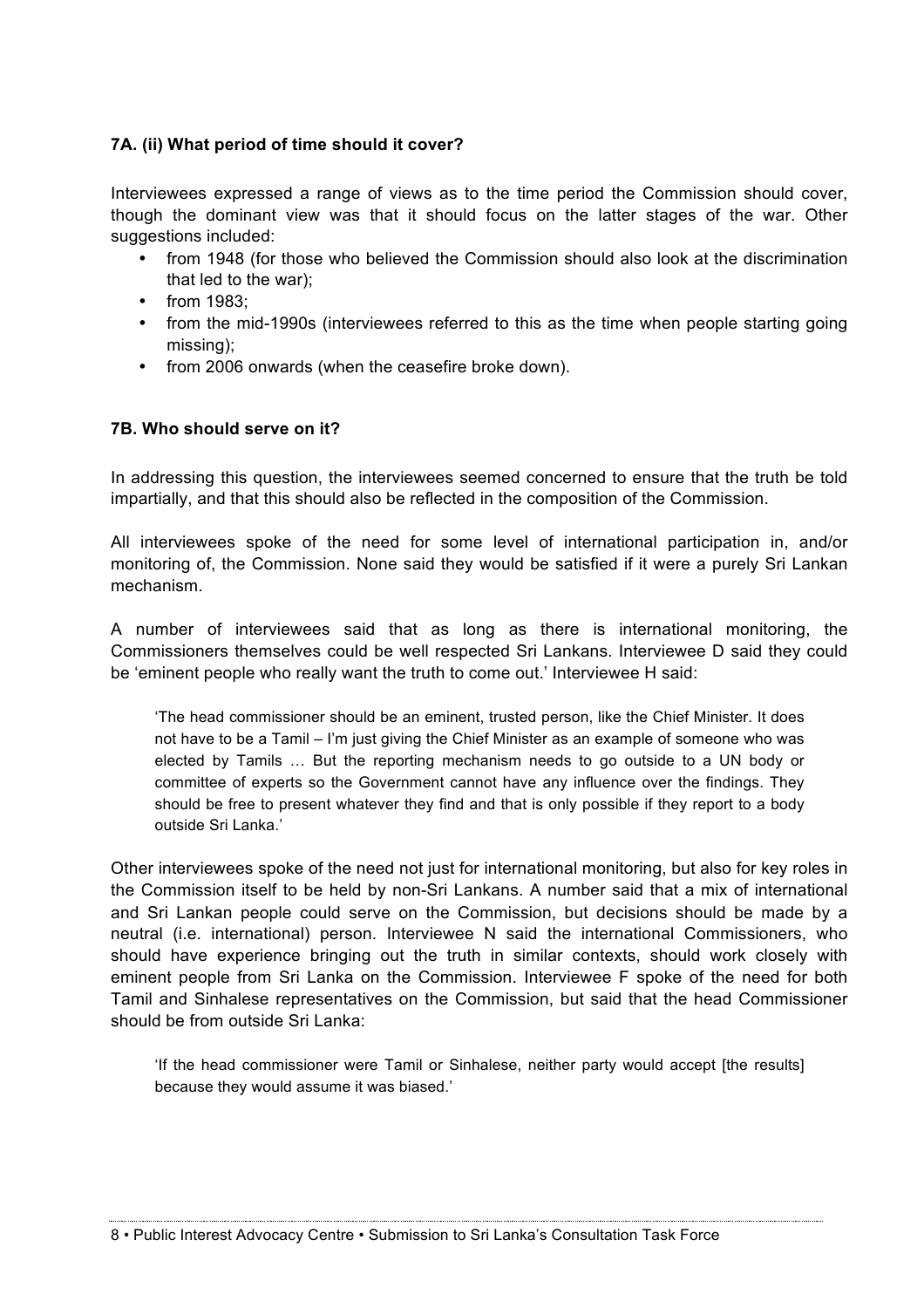## **7A. (ii) What period of time should it cover?**

Interviewees expressed a range of views as to the time period the Commission should cover, though the dominant view was that it should focus on the latter stages of the war. Other suggestions included:

- from 1948 (for those who believed the Commission should also look at the discrimination that led to the war);
- from 1983:
- from the mid-1990s (interviewees referred to this as the time when people starting going missing);
- from 2006 onwards (when the ceasefire broke down).

#### **7B. Who should serve on it?**

In addressing this question, the interviewees seemed concerned to ensure that the truth be told impartially, and that this should also be reflected in the composition of the Commission.

All interviewees spoke of the need for some level of international participation in, and/or monitoring of, the Commission. None said they would be satisfied if it were a purely Sri Lankan mechanism.

A number of interviewees said that as long as there is international monitoring, the Commissioners themselves could be well respected Sri Lankans. Interviewee D said they could be 'eminent people who really want the truth to come out.' Interviewee H said:

'The head commissioner should be an eminent, trusted person, like the Chief Minister. It does not have to be a Tamil – I'm just giving the Chief Minister as an example of someone who was elected by Tamils … But the reporting mechanism needs to go outside to a UN body or committee of experts so the Government cannot have any influence over the findings. They should be free to present whatever they find and that is only possible if they report to a body outside Sri Lanka.'

Other interviewees spoke of the need not just for international monitoring, but also for key roles in the Commission itself to be held by non-Sri Lankans. A number said that a mix of international and Sri Lankan people could serve on the Commission, but decisions should be made by a neutral (i.e. international) person. Interviewee N said the international Commissioners, who should have experience bringing out the truth in similar contexts, should work closely with eminent people from Sri Lanka on the Commission. Interviewee F spoke of the need for both Tamil and Sinhalese representatives on the Commission, but said that the head Commissioner should be from outside Sri Lanka:

'If the head commissioner were Tamil or Sinhalese, neither party would accept [the results] because they would assume it was biased.'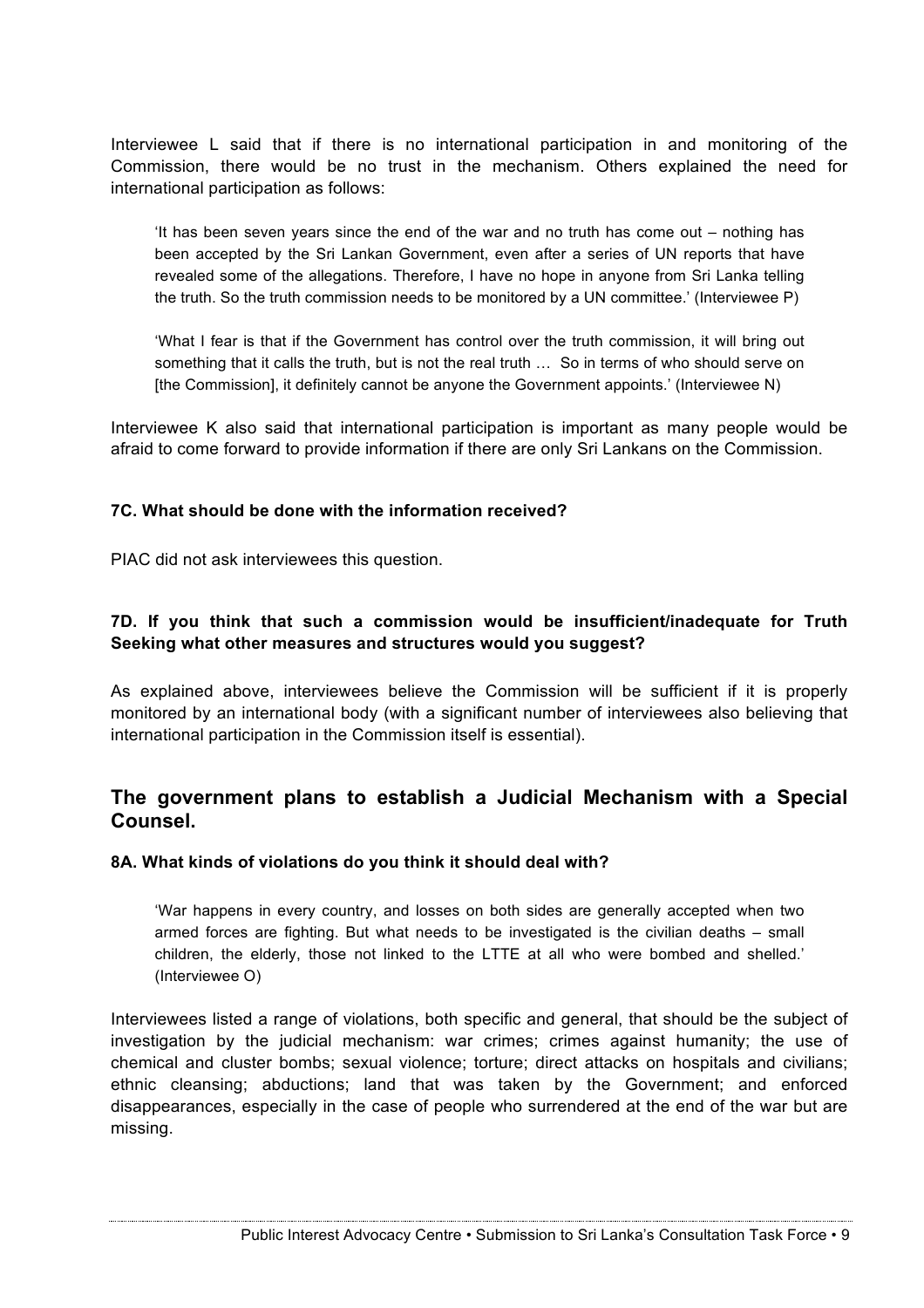Interviewee L said that if there is no international participation in and monitoring of the Commission, there would be no trust in the mechanism. Others explained the need for international participation as follows:

'It has been seven years since the end of the war and no truth has come out – nothing has been accepted by the Sri Lankan Government, even after a series of UN reports that have revealed some of the allegations. Therefore, I have no hope in anyone from Sri Lanka telling the truth. So the truth commission needs to be monitored by a UN committee.' (Interviewee P)

'What I fear is that if the Government has control over the truth commission, it will bring out something that it calls the truth, but is not the real truth … So in terms of who should serve on [the Commission], it definitely cannot be anyone the Government appoints.' (Interviewee N)

Interviewee K also said that international participation is important as many people would be afraid to come forward to provide information if there are only Sri Lankans on the Commission.

#### **7C. What should be done with the information received?**

PIAC did not ask interviewees this question.

## **7D. If you think that such a commission would be insufficient/inadequate for Truth Seeking what other measures and structures would you suggest?**

As explained above, interviewees believe the Commission will be sufficient if it is properly monitored by an international body (with a significant number of interviewees also believing that international participation in the Commission itself is essential).

# **The government plans to establish a Judicial Mechanism with a Special Counsel.**

#### **8A. What kinds of violations do you think it should deal with?**

'War happens in every country, and losses on both sides are generally accepted when two armed forces are fighting. But what needs to be investigated is the civilian deaths – small children, the elderly, those not linked to the LTTE at all who were bombed and shelled.' (Interviewee O)

Interviewees listed a range of violations, both specific and general, that should be the subject of investigation by the judicial mechanism: war crimes; crimes against humanity; the use of chemical and cluster bombs; sexual violence; torture; direct attacks on hospitals and civilians; ethnic cleansing; abductions; land that was taken by the Government; and enforced disappearances, especially in the case of people who surrendered at the end of the war but are missing.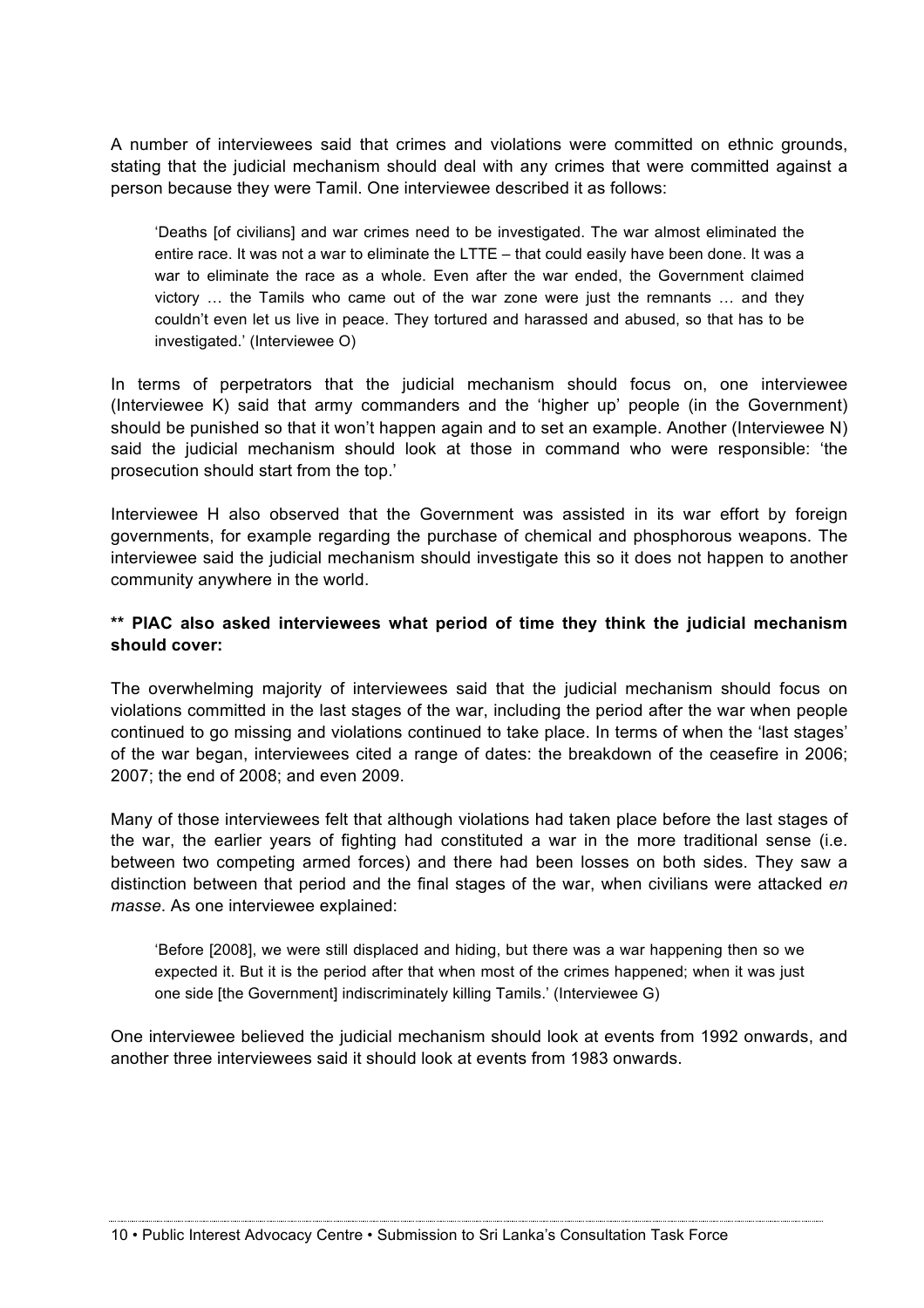A number of interviewees said that crimes and violations were committed on ethnic grounds, stating that the judicial mechanism should deal with any crimes that were committed against a person because they were Tamil. One interviewee described it as follows:

'Deaths [of civilians] and war crimes need to be investigated. The war almost eliminated the entire race. It was not a war to eliminate the LTTE – that could easily have been done. It was a war to eliminate the race as a whole. Even after the war ended, the Government claimed victory … the Tamils who came out of the war zone were just the remnants … and they couldn't even let us live in peace. They tortured and harassed and abused, so that has to be investigated.' (Interviewee O)

In terms of perpetrators that the judicial mechanism should focus on, one interviewee (Interviewee K) said that army commanders and the 'higher up' people (in the Government) should be punished so that it won't happen again and to set an example. Another (Interviewee N) said the judicial mechanism should look at those in command who were responsible: 'the prosecution should start from the top.'

Interviewee H also observed that the Government was assisted in its war effort by foreign governments, for example regarding the purchase of chemical and phosphorous weapons. The interviewee said the judicial mechanism should investigate this so it does not happen to another community anywhere in the world.

## **\*\* PIAC also asked interviewees what period of time they think the judicial mechanism should cover:**

The overwhelming majority of interviewees said that the judicial mechanism should focus on violations committed in the last stages of the war, including the period after the war when people continued to go missing and violations continued to take place. In terms of when the 'last stages' of the war began, interviewees cited a range of dates: the breakdown of the ceasefire in 2006; 2007; the end of 2008; and even 2009.

Many of those interviewees felt that although violations had taken place before the last stages of the war, the earlier years of fighting had constituted a war in the more traditional sense (i.e. between two competing armed forces) and there had been losses on both sides. They saw a distinction between that period and the final stages of the war, when civilians were attacked *en masse*. As one interviewee explained:

'Before [2008], we were still displaced and hiding, but there was a war happening then so we expected it. But it is the period after that when most of the crimes happened; when it was just one side [the Government] indiscriminately killing Tamils.' (Interviewee G)

One interviewee believed the judicial mechanism should look at events from 1992 onwards, and another three interviewees said it should look at events from 1983 onwards.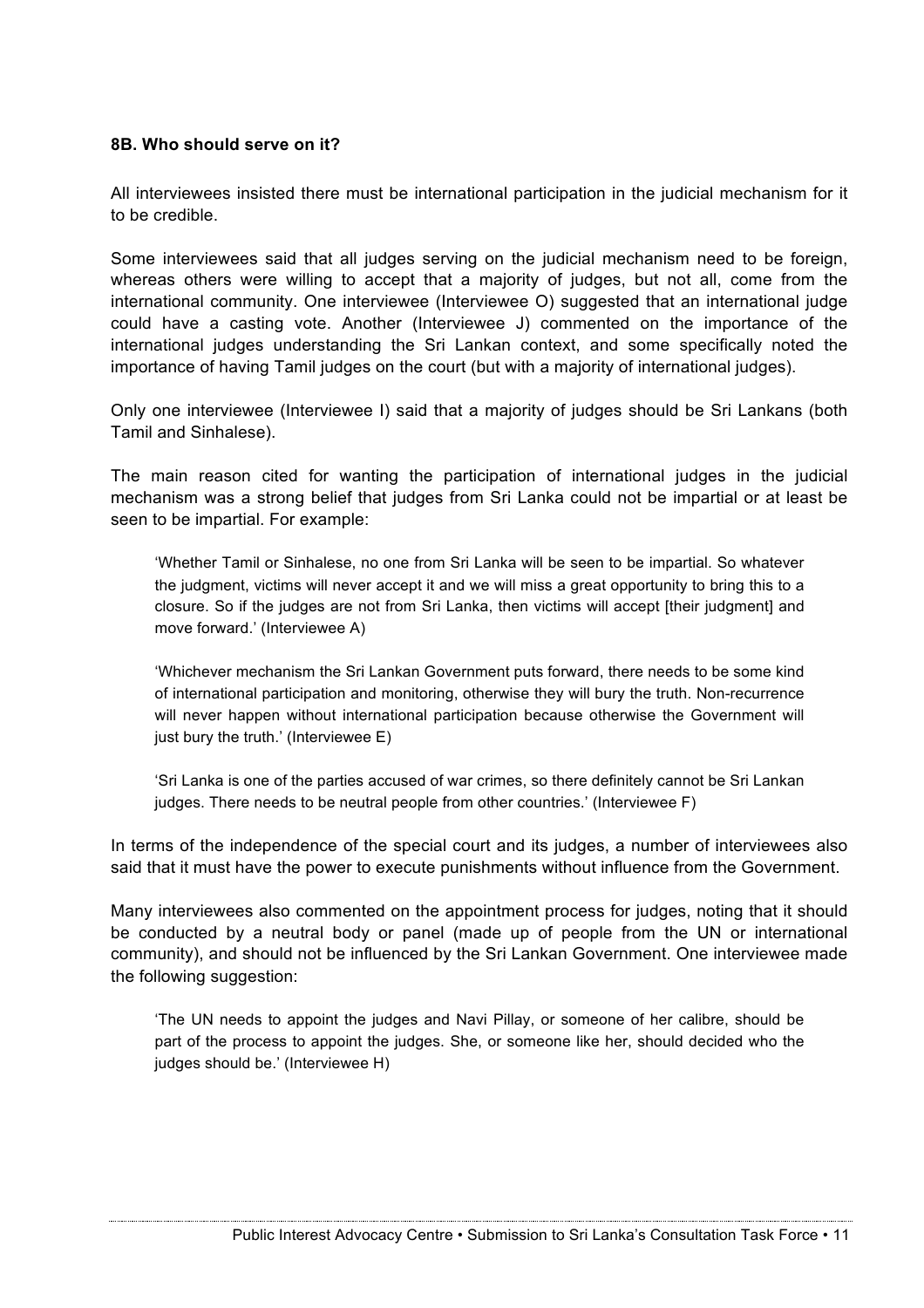#### **8B. Who should serve on it?**

All interviewees insisted there must be international participation in the judicial mechanism for it to be credible.

Some interviewees said that all judges serving on the judicial mechanism need to be foreign, whereas others were willing to accept that a majority of judges, but not all, come from the international community. One interviewee (Interviewee O) suggested that an international judge could have a casting vote. Another (Interviewee J) commented on the importance of the international judges understanding the Sri Lankan context, and some specifically noted the importance of having Tamil judges on the court (but with a majority of international judges).

Only one interviewee (Interviewee I) said that a majority of judges should be Sri Lankans (both Tamil and Sinhalese).

The main reason cited for wanting the participation of international judges in the judicial mechanism was a strong belief that judges from Sri Lanka could not be impartial or at least be seen to be impartial. For example:

'Whether Tamil or Sinhalese, no one from Sri Lanka will be seen to be impartial. So whatever the judgment, victims will never accept it and we will miss a great opportunity to bring this to a closure. So if the judges are not from Sri Lanka, then victims will accept [their judgment] and move forward.' (Interviewee A)

'Whichever mechanism the Sri Lankan Government puts forward, there needs to be some kind of international participation and monitoring, otherwise they will bury the truth. Non-recurrence will never happen without international participation because otherwise the Government will just bury the truth.' (Interviewee E)

'Sri Lanka is one of the parties accused of war crimes, so there definitely cannot be Sri Lankan judges. There needs to be neutral people from other countries.' (Interviewee F)

In terms of the independence of the special court and its judges, a number of interviewees also said that it must have the power to execute punishments without influence from the Government.

Many interviewees also commented on the appointment process for judges, noting that it should be conducted by a neutral body or panel (made up of people from the UN or international community), and should not be influenced by the Sri Lankan Government. One interviewee made the following suggestion:

'The UN needs to appoint the judges and Navi Pillay, or someone of her calibre, should be part of the process to appoint the judges. She, or someone like her, should decided who the judges should be.' (Interviewee H)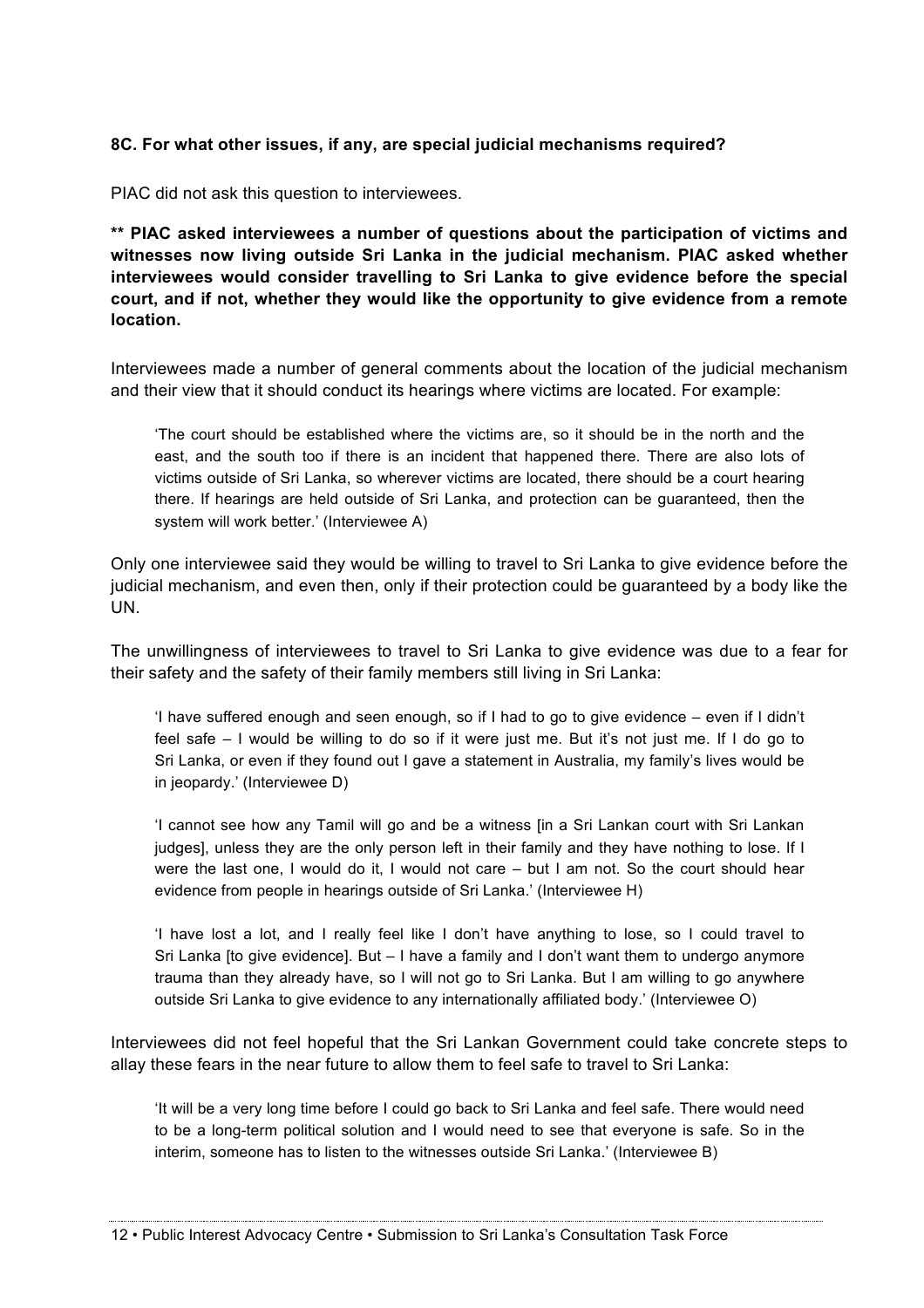### **8C. For what other issues, if any, are special judicial mechanisms required?**

PIAC did not ask this question to interviewees.

**\*\* PIAC asked interviewees a number of questions about the participation of victims and witnesses now living outside Sri Lanka in the judicial mechanism. PIAC asked whether interviewees would consider travelling to Sri Lanka to give evidence before the special court, and if not, whether they would like the opportunity to give evidence from a remote location.**

Interviewees made a number of general comments about the location of the judicial mechanism and their view that it should conduct its hearings where victims are located. For example:

'The court should be established where the victims are, so it should be in the north and the east, and the south too if there is an incident that happened there. There are also lots of victims outside of Sri Lanka, so wherever victims are located, there should be a court hearing there. If hearings are held outside of Sri Lanka, and protection can be guaranteed, then the system will work better.' (Interviewee A)

Only one interviewee said they would be willing to travel to Sri Lanka to give evidence before the judicial mechanism, and even then, only if their protection could be guaranteed by a body like the UN.

The unwillingness of interviewees to travel to Sri Lanka to give evidence was due to a fear for their safety and the safety of their family members still living in Sri Lanka:

'I have suffered enough and seen enough, so if I had to go to give evidence – even if I didn't feel safe – I would be willing to do so if it were just me. But it's not just me. If I do go to Sri Lanka, or even if they found out I gave a statement in Australia, my family's lives would be in jeopardy.' (Interviewee D)

'I cannot see how any Tamil will go and be a witness [in a Sri Lankan court with Sri Lankan judges], unless they are the only person left in their family and they have nothing to lose. If I were the last one, I would do it, I would not care – but I am not. So the court should hear evidence from people in hearings outside of Sri Lanka.' (Interviewee H)

'I have lost a lot, and I really feel like I don't have anything to lose, so I could travel to Sri Lanka [to give evidence]. But – I have a family and I don't want them to undergo anymore trauma than they already have, so I will not go to Sri Lanka. But I am willing to go anywhere outside Sri Lanka to give evidence to any internationally affiliated body.' (Interviewee O)

Interviewees did not feel hopeful that the Sri Lankan Government could take concrete steps to allay these fears in the near future to allow them to feel safe to travel to Sri Lanka:

'It will be a very long time before I could go back to Sri Lanka and feel safe. There would need to be a long-term political solution and I would need to see that everyone is safe. So in the interim, someone has to listen to the witnesses outside Sri Lanka.' (Interviewee B)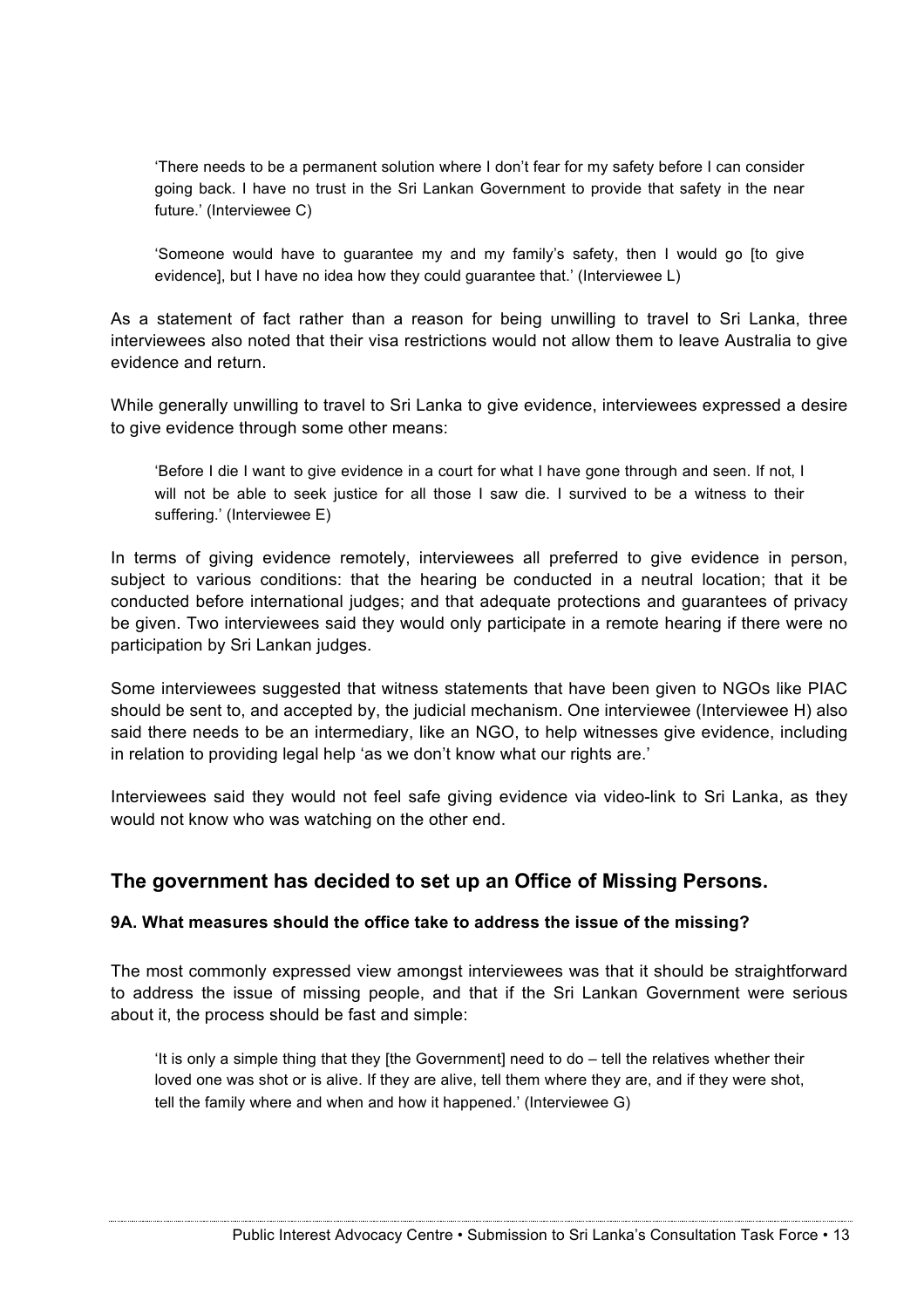'There needs to be a permanent solution where I don't fear for my safety before I can consider going back. I have no trust in the Sri Lankan Government to provide that safety in the near future.' (Interviewee C)

'Someone would have to guarantee my and my family's safety, then I would go [to give evidence], but I have no idea how they could guarantee that.' (Interviewee L)

As a statement of fact rather than a reason for being unwilling to travel to Sri Lanka, three interviewees also noted that their visa restrictions would not allow them to leave Australia to give evidence and return.

While generally unwilling to travel to Sri Lanka to give evidence, interviewees expressed a desire to give evidence through some other means:

'Before I die I want to give evidence in a court for what I have gone through and seen. If not, I will not be able to seek justice for all those I saw die. I survived to be a witness to their suffering.' (Interviewee E)

In terms of giving evidence remotely, interviewees all preferred to give evidence in person, subject to various conditions: that the hearing be conducted in a neutral location; that it be conducted before international judges; and that adequate protections and guarantees of privacy be given. Two interviewees said they would only participate in a remote hearing if there were no participation by Sri Lankan judges.

Some interviewees suggested that witness statements that have been given to NGOs like PIAC should be sent to, and accepted by, the judicial mechanism. One interviewee (Interviewee H) also said there needs to be an intermediary, like an NGO, to help witnesses give evidence, including in relation to providing legal help 'as we don't know what our rights are.'

Interviewees said they would not feel safe giving evidence via video-link to Sri Lanka, as they would not know who was watching on the other end.

# **The government has decided to set up an Office of Missing Persons.**

#### **9A. What measures should the office take to address the issue of the missing?**

The most commonly expressed view amongst interviewees was that it should be straightforward to address the issue of missing people, and that if the Sri Lankan Government were serious about it, the process should be fast and simple:

'It is only a simple thing that they [the Government] need to do – tell the relatives whether their loved one was shot or is alive. If they are alive, tell them where they are, and if they were shot, tell the family where and when and how it happened.' (Interviewee G)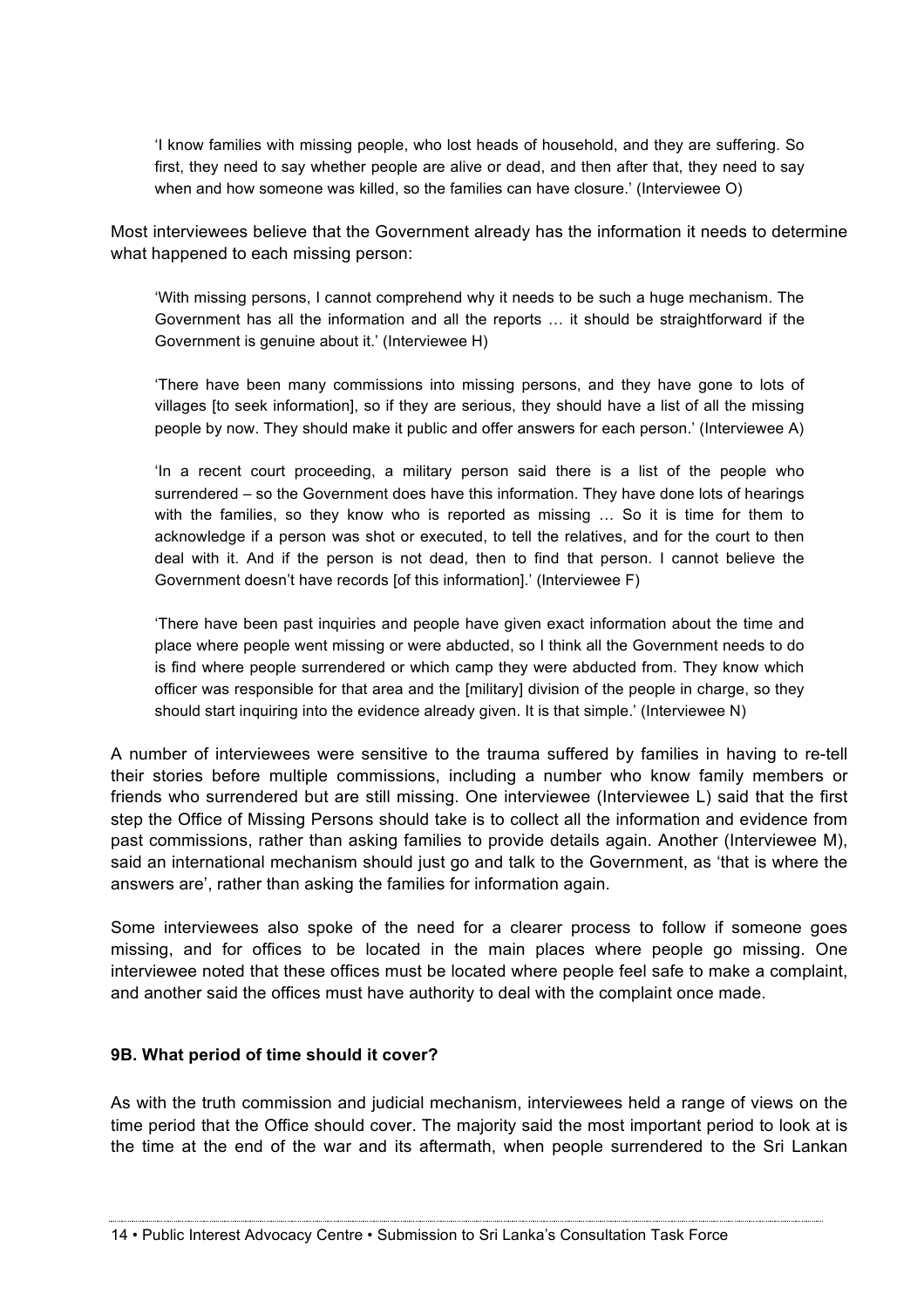'I know families with missing people, who lost heads of household, and they are suffering. So first, they need to say whether people are alive or dead, and then after that, they need to say when and how someone was killed, so the families can have closure.' (Interviewee O)

Most interviewees believe that the Government already has the information it needs to determine what happened to each missing person:

'With missing persons, I cannot comprehend why it needs to be such a huge mechanism. The Government has all the information and all the reports … it should be straightforward if the Government is genuine about it.' (Interviewee H)

'There have been many commissions into missing persons, and they have gone to lots of villages [to seek information], so if they are serious, they should have a list of all the missing people by now. They should make it public and offer answers for each person.' (Interviewee A)

'In a recent court proceeding, a military person said there is a list of the people who surrendered – so the Government does have this information. They have done lots of hearings with the families, so they know who is reported as missing … So it is time for them to acknowledge if a person was shot or executed, to tell the relatives, and for the court to then deal with it. And if the person is not dead, then to find that person. I cannot believe the Government doesn't have records [of this information].' (Interviewee F)

'There have been past inquiries and people have given exact information about the time and place where people went missing or were abducted, so I think all the Government needs to do is find where people surrendered or which camp they were abducted from. They know which officer was responsible for that area and the [military] division of the people in charge, so they should start inquiring into the evidence already given. It is that simple.' (Interviewee N)

A number of interviewees were sensitive to the trauma suffered by families in having to re-tell their stories before multiple commissions, including a number who know family members or friends who surrendered but are still missing. One interviewee (Interviewee L) said that the first step the Office of Missing Persons should take is to collect all the information and evidence from past commissions, rather than asking families to provide details again. Another (Interviewee M), said an international mechanism should just go and talk to the Government, as 'that is where the answers are', rather than asking the families for information again.

Some interviewees also spoke of the need for a clearer process to follow if someone goes missing, and for offices to be located in the main places where people go missing. One interviewee noted that these offices must be located where people feel safe to make a complaint, and another said the offices must have authority to deal with the complaint once made.

#### **9B. What period of time should it cover?**

As with the truth commission and judicial mechanism, interviewees held a range of views on the time period that the Office should cover. The majority said the most important period to look at is the time at the end of the war and its aftermath, when people surrendered to the Sri Lankan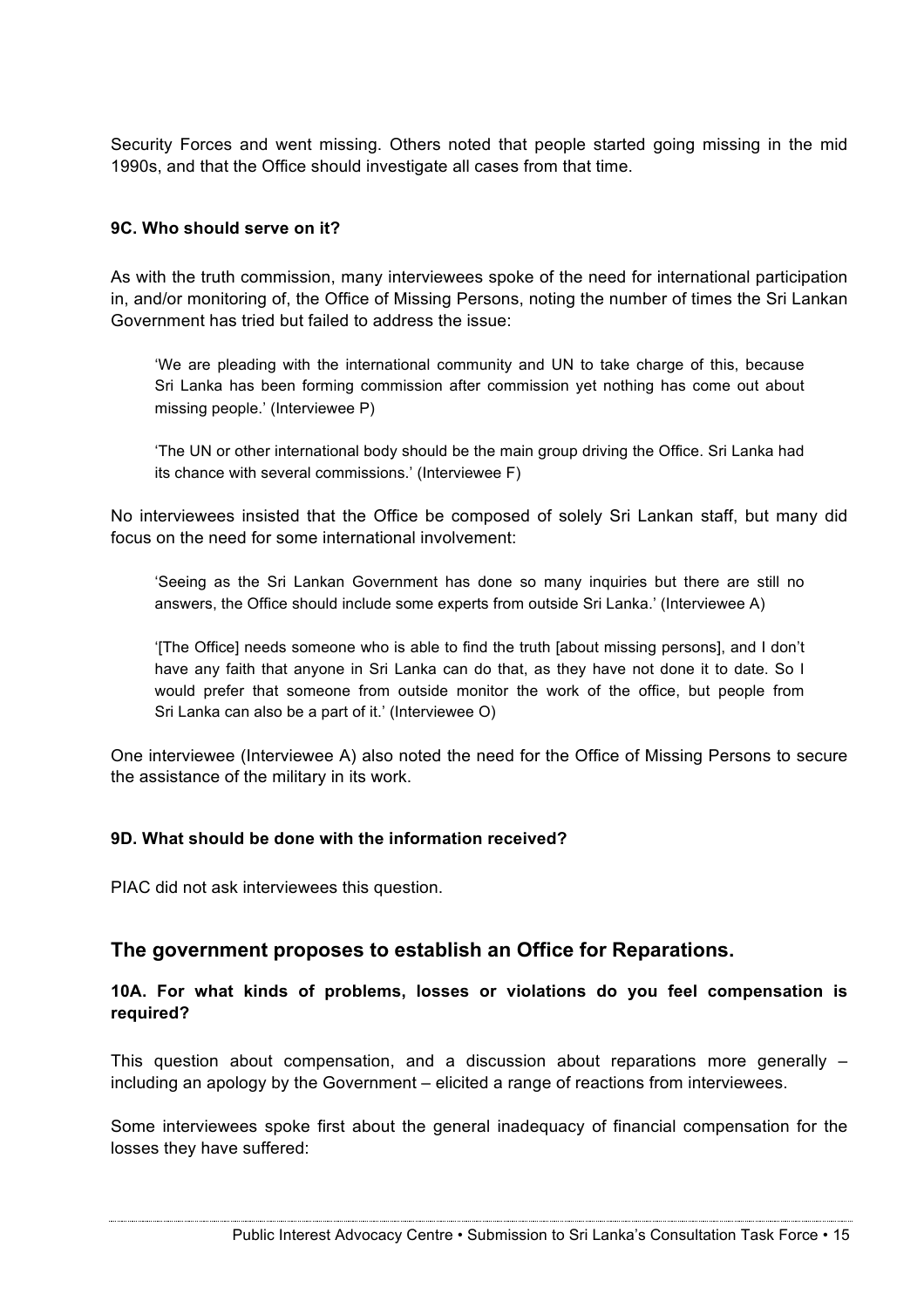Security Forces and went missing. Others noted that people started going missing in the mid 1990s, and that the Office should investigate all cases from that time.

### **9C. Who should serve on it?**

As with the truth commission, many interviewees spoke of the need for international participation in, and/or monitoring of, the Office of Missing Persons, noting the number of times the Sri Lankan Government has tried but failed to address the issue:

'We are pleading with the international community and UN to take charge of this, because Sri Lanka has been forming commission after commission yet nothing has come out about missing people.' (Interviewee P)

'The UN or other international body should be the main group driving the Office. Sri Lanka had its chance with several commissions.' (Interviewee F)

No interviewees insisted that the Office be composed of solely Sri Lankan staff, but many did focus on the need for some international involvement:

'Seeing as the Sri Lankan Government has done so many inquiries but there are still no answers, the Office should include some experts from outside Sri Lanka.' (Interviewee A)

'[The Office] needs someone who is able to find the truth [about missing persons], and I don't have any faith that anyone in Sri Lanka can do that, as they have not done it to date. So I would prefer that someone from outside monitor the work of the office, but people from Sri Lanka can also be a part of it.' (Interviewee O)

One interviewee (Interviewee A) also noted the need for the Office of Missing Persons to secure the assistance of the military in its work.

#### **9D. What should be done with the information received?**

PIAC did not ask interviewees this question.

## **The government proposes to establish an Office for Reparations.**

## **10A. For what kinds of problems, losses or violations do you feel compensation is required?**

This question about compensation, and a discussion about reparations more generally – including an apology by the Government – elicited a range of reactions from interviewees.

Some interviewees spoke first about the general inadequacy of financial compensation for the losses they have suffered: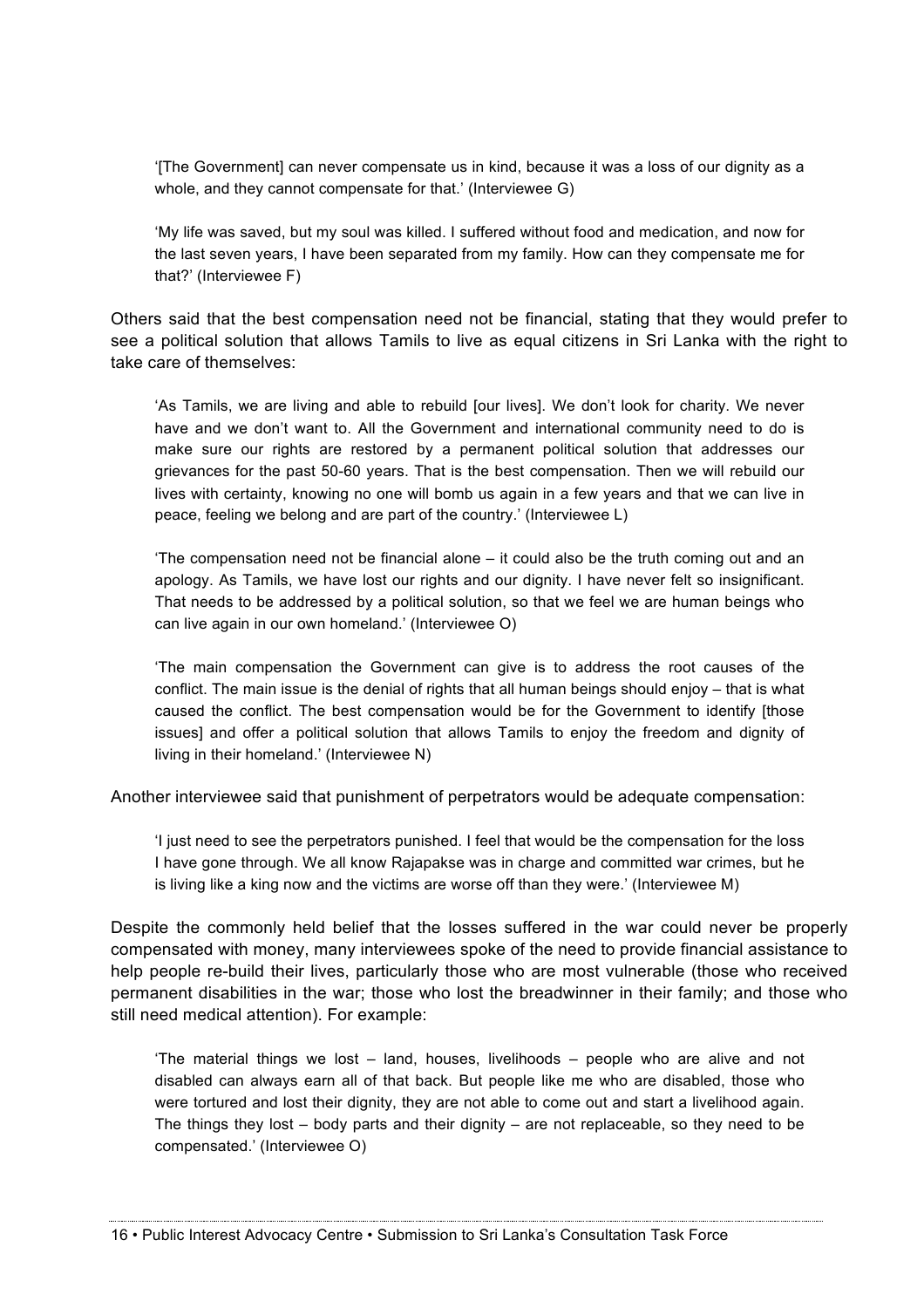'[The Government] can never compensate us in kind, because it was a loss of our dignity as a whole, and they cannot compensate for that.' (Interviewee G)

'My life was saved, but my soul was killed. I suffered without food and medication, and now for the last seven years, I have been separated from my family. How can they compensate me for that?' (Interviewee F)

Others said that the best compensation need not be financial, stating that they would prefer to see a political solution that allows Tamils to live as equal citizens in Sri Lanka with the right to take care of themselves:

'As Tamils, we are living and able to rebuild [our lives]. We don't look for charity. We never have and we don't want to. All the Government and international community need to do is make sure our rights are restored by a permanent political solution that addresses our grievances for the past 50-60 years. That is the best compensation. Then we will rebuild our lives with certainty, knowing no one will bomb us again in a few years and that we can live in peace, feeling we belong and are part of the country.' (Interviewee L)

'The compensation need not be financial alone – it could also be the truth coming out and an apology. As Tamils, we have lost our rights and our dignity. I have never felt so insignificant. That needs to be addressed by a political solution, so that we feel we are human beings who can live again in our own homeland.' (Interviewee O)

'The main compensation the Government can give is to address the root causes of the conflict. The main issue is the denial of rights that all human beings should enjoy – that is what caused the conflict. The best compensation would be for the Government to identify [those issues] and offer a political solution that allows Tamils to enjoy the freedom and dignity of living in their homeland.' (Interviewee N)

Another interviewee said that punishment of perpetrators would be adequate compensation:

'I just need to see the perpetrators punished. I feel that would be the compensation for the loss I have gone through. We all know Rajapakse was in charge and committed war crimes, but he is living like a king now and the victims are worse off than they were.' (Interviewee M)

Despite the commonly held belief that the losses suffered in the war could never be properly compensated with money, many interviewees spoke of the need to provide financial assistance to help people re-build their lives, particularly those who are most vulnerable (those who received permanent disabilities in the war; those who lost the breadwinner in their family; and those who still need medical attention). For example:

'The material things we lost – land, houses, livelihoods – people who are alive and not disabled can always earn all of that back. But people like me who are disabled, those who were tortured and lost their dignity, they are not able to come out and start a livelihood again. The things they lost – body parts and their dignity – are not replaceable, so they need to be compensated.' (Interviewee O)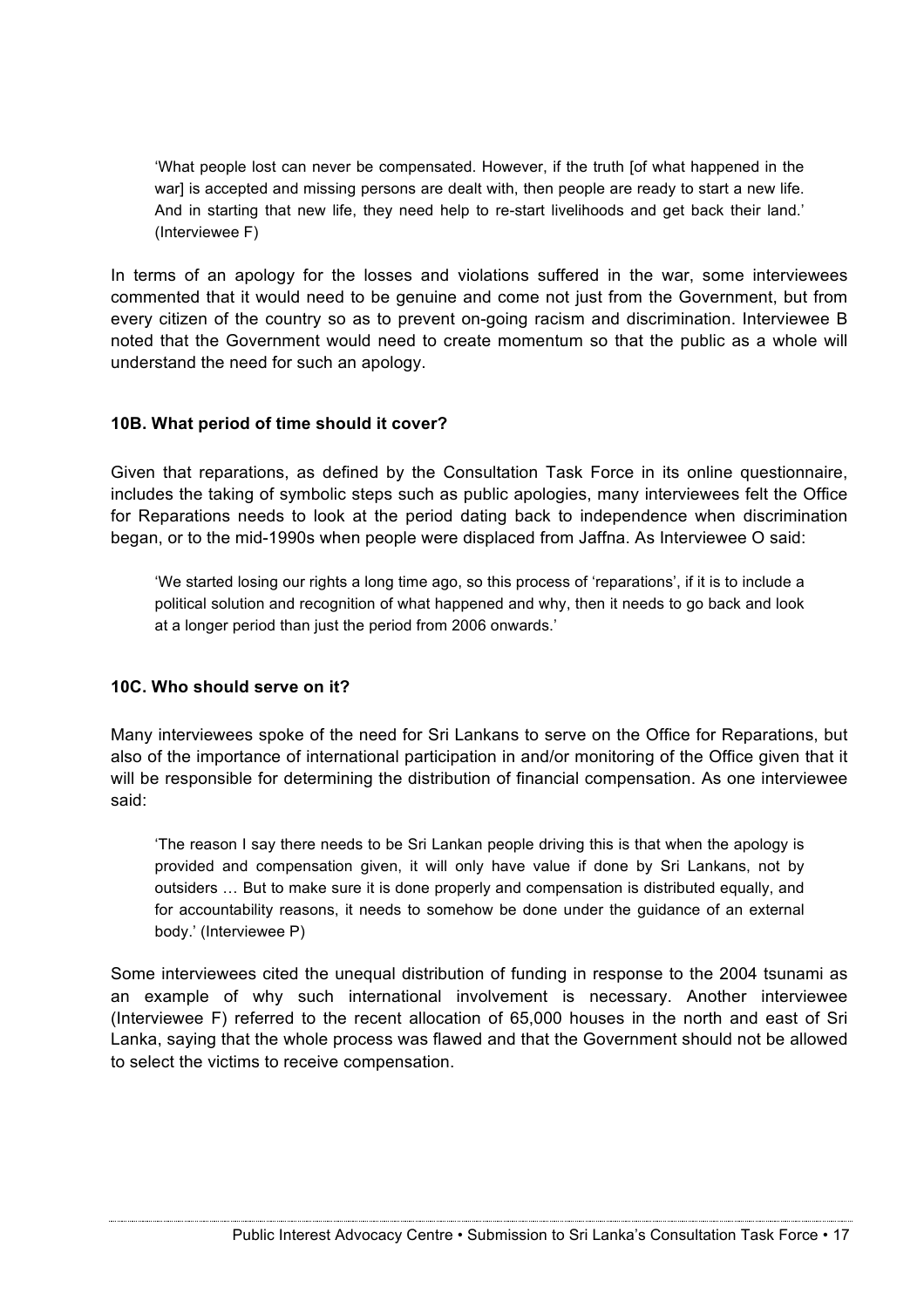'What people lost can never be compensated. However, if the truth [of what happened in the war] is accepted and missing persons are dealt with, then people are ready to start a new life. And in starting that new life, they need help to re-start livelihoods and get back their land.' (Interviewee F)

In terms of an apology for the losses and violations suffered in the war, some interviewees commented that it would need to be genuine and come not just from the Government, but from every citizen of the country so as to prevent on-going racism and discrimination. Interviewee B noted that the Government would need to create momentum so that the public as a whole will understand the need for such an apology.

#### **10B. What period of time should it cover?**

Given that reparations, as defined by the Consultation Task Force in its online questionnaire, includes the taking of symbolic steps such as public apologies, many interviewees felt the Office for Reparations needs to look at the period dating back to independence when discrimination began, or to the mid-1990s when people were displaced from Jaffna. As Interviewee O said:

'We started losing our rights a long time ago, so this process of 'reparations', if it is to include a political solution and recognition of what happened and why, then it needs to go back and look at a longer period than just the period from 2006 onwards.'

#### **10C. Who should serve on it?**

Many interviewees spoke of the need for Sri Lankans to serve on the Office for Reparations, but also of the importance of international participation in and/or monitoring of the Office given that it will be responsible for determining the distribution of financial compensation. As one interviewee said:

'The reason I say there needs to be Sri Lankan people driving this is that when the apology is provided and compensation given, it will only have value if done by Sri Lankans, not by outsiders … But to make sure it is done properly and compensation is distributed equally, and for accountability reasons, it needs to somehow be done under the guidance of an external body.' (Interviewee P)

Some interviewees cited the unequal distribution of funding in response to the 2004 tsunami as an example of why such international involvement is necessary. Another interviewee (Interviewee F) referred to the recent allocation of 65,000 houses in the north and east of Sri Lanka, saying that the whole process was flawed and that the Government should not be allowed to select the victims to receive compensation.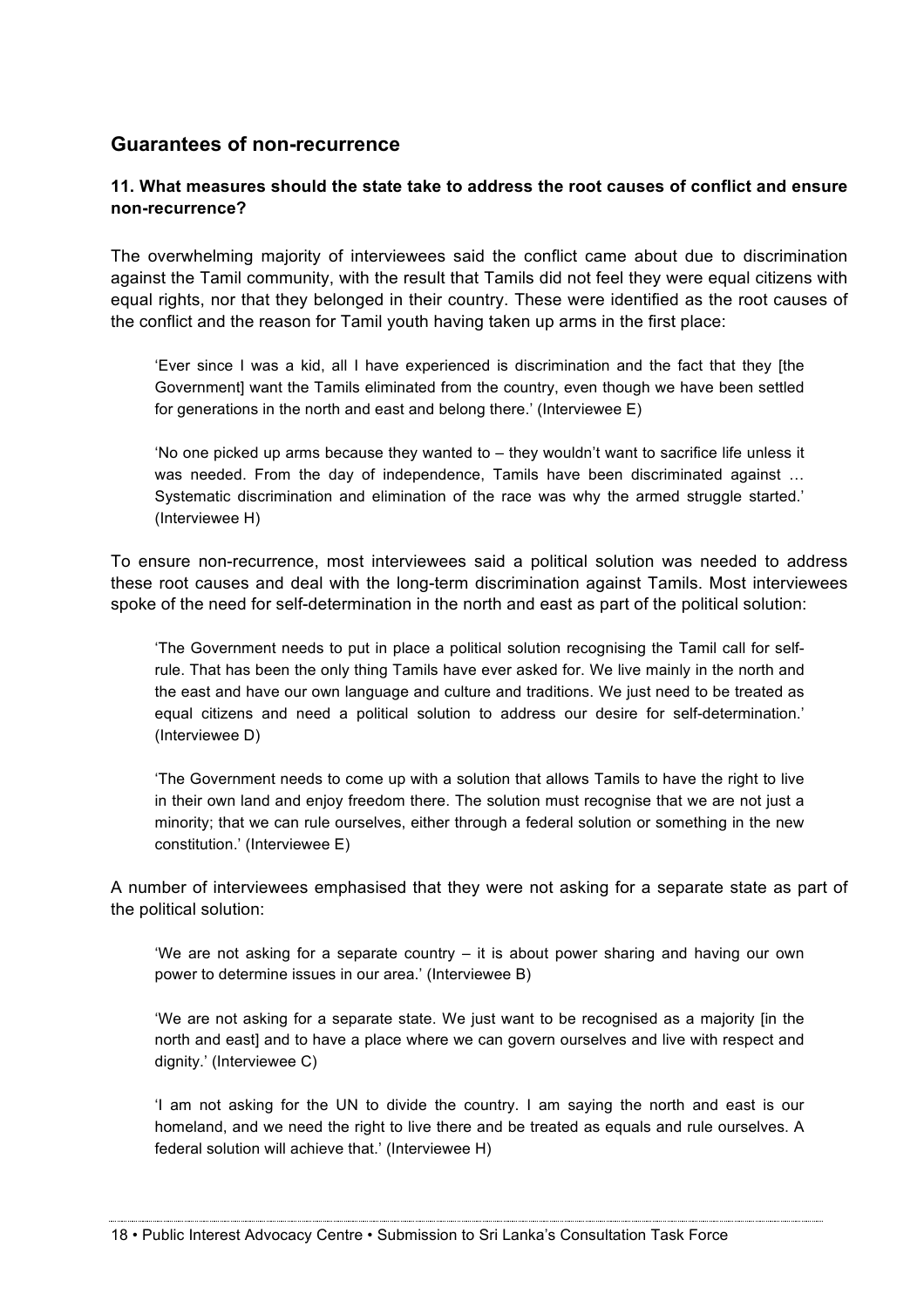# **Guarantees of non-recurrence**

## **11. What measures should the state take to address the root causes of conflict and ensure non-recurrence?**

The overwhelming majority of interviewees said the conflict came about due to discrimination against the Tamil community, with the result that Tamils did not feel they were equal citizens with equal rights, nor that they belonged in their country. These were identified as the root causes of the conflict and the reason for Tamil youth having taken up arms in the first place:

'Ever since I was a kid, all I have experienced is discrimination and the fact that they [the Government] want the Tamils eliminated from the country, even though we have been settled for generations in the north and east and belong there.' (Interviewee E)

'No one picked up arms because they wanted to – they wouldn't want to sacrifice life unless it was needed. From the day of independence, Tamils have been discriminated against ... Systematic discrimination and elimination of the race was why the armed struggle started.' (Interviewee H)

To ensure non-recurrence, most interviewees said a political solution was needed to address these root causes and deal with the long-term discrimination against Tamils. Most interviewees spoke of the need for self-determination in the north and east as part of the political solution:

'The Government needs to put in place a political solution recognising the Tamil call for selfrule. That has been the only thing Tamils have ever asked for. We live mainly in the north and the east and have our own language and culture and traditions. We just need to be treated as equal citizens and need a political solution to address our desire for self-determination.' (Interviewee D)

'The Government needs to come up with a solution that allows Tamils to have the right to live in their own land and enjoy freedom there. The solution must recognise that we are not just a minority; that we can rule ourselves, either through a federal solution or something in the new constitution.' (Interviewee E)

A number of interviewees emphasised that they were not asking for a separate state as part of the political solution:

'We are not asking for a separate country – it is about power sharing and having our own power to determine issues in our area.' (Interviewee B)

'We are not asking for a separate state. We just want to be recognised as a majority [in the north and east] and to have a place where we can govern ourselves and live with respect and dignity.' (Interviewee C)

'I am not asking for the UN to divide the country. I am saying the north and east is our homeland, and we need the right to live there and be treated as equals and rule ourselves. A federal solution will achieve that.' (Interviewee H)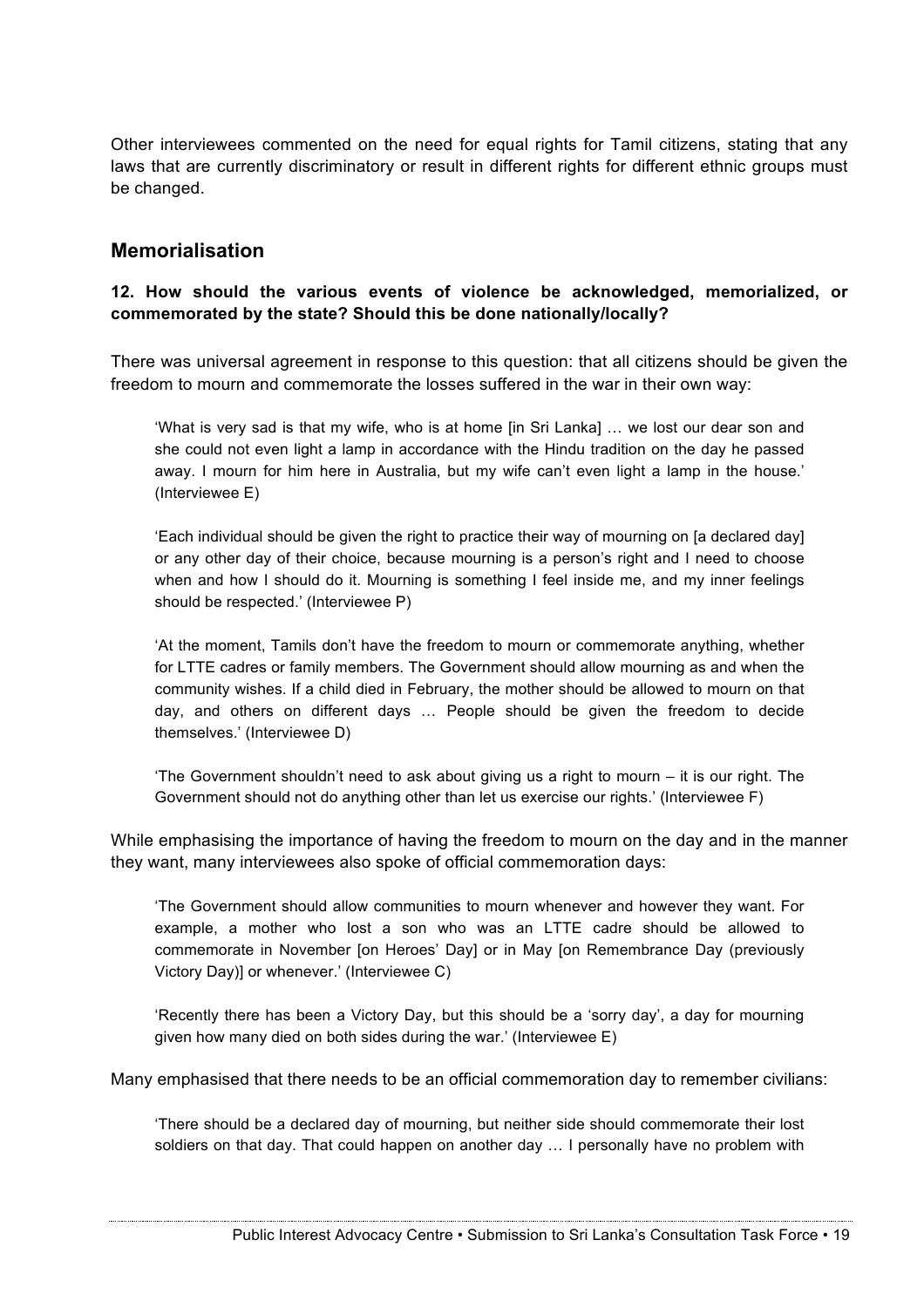Other interviewees commented on the need for equal rights for Tamil citizens, stating that any laws that are currently discriminatory or result in different rights for different ethnic groups must be changed.

# **Memorialisation**

## **12. How should the various events of violence be acknowledged, memorialized, or commemorated by the state? Should this be done nationally/locally?**

There was universal agreement in response to this question: that all citizens should be given the freedom to mourn and commemorate the losses suffered in the war in their own way:

'What is very sad is that my wife, who is at home [in Sri Lanka] … we lost our dear son and she could not even light a lamp in accordance with the Hindu tradition on the day he passed away. I mourn for him here in Australia, but my wife can't even light a lamp in the house.' (Interviewee E)

'Each individual should be given the right to practice their way of mourning on [a declared day] or any other day of their choice, because mourning is a person's right and I need to choose when and how I should do it. Mourning is something I feel inside me, and my inner feelings should be respected.' (Interviewee P)

'At the moment, Tamils don't have the freedom to mourn or commemorate anything, whether for LTTE cadres or family members. The Government should allow mourning as and when the community wishes. If a child died in February, the mother should be allowed to mourn on that day, and others on different days … People should be given the freedom to decide themselves.' (Interviewee D)

'The Government shouldn't need to ask about giving us a right to mourn – it is our right. The Government should not do anything other than let us exercise our rights.' (Interviewee F)

While emphasising the importance of having the freedom to mourn on the day and in the manner they want, many interviewees also spoke of official commemoration days:

'The Government should allow communities to mourn whenever and however they want. For example, a mother who lost a son who was an LTTE cadre should be allowed to commemorate in November [on Heroes' Day] or in May [on Remembrance Day (previously Victory Day)] or whenever.' (Interviewee C)

'Recently there has been a Victory Day, but this should be a 'sorry day', a day for mourning given how many died on both sides during the war.' (Interviewee E)

Many emphasised that there needs to be an official commemoration day to remember civilians:

'There should be a declared day of mourning, but neither side should commemorate their lost soldiers on that day. That could happen on another day ... I personally have no problem with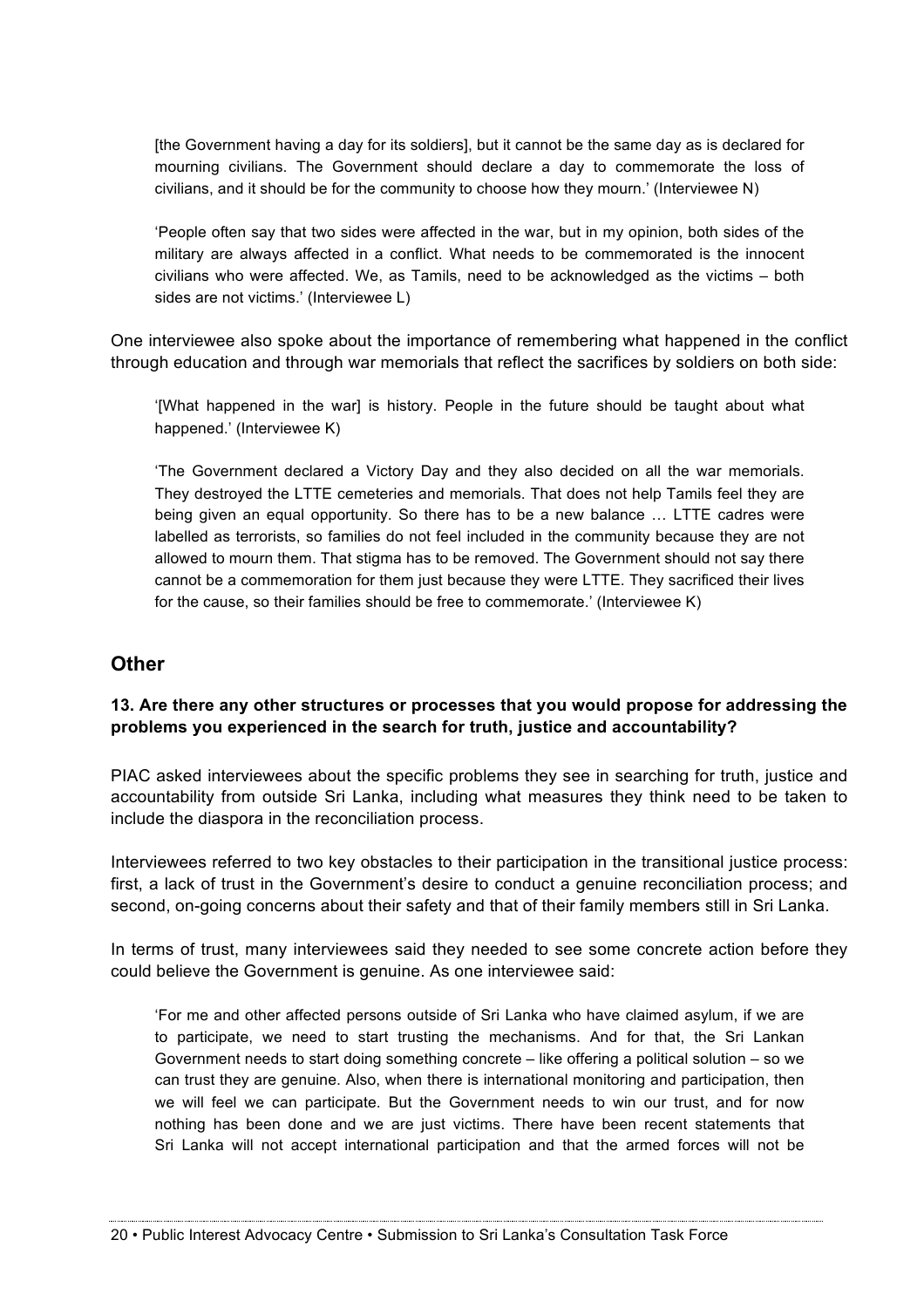[the Government having a day for its soldiers], but it cannot be the same day as is declared for mourning civilians. The Government should declare a day to commemorate the loss of civilians, and it should be for the community to choose how they mourn.' (Interviewee N)

'People often say that two sides were affected in the war, but in my opinion, both sides of the military are always affected in a conflict. What needs to be commemorated is the innocent civilians who were affected. We, as Tamils, need to be acknowledged as the victims – both sides are not victims.' (Interviewee L)

One interviewee also spoke about the importance of remembering what happened in the conflict through education and through war memorials that reflect the sacrifices by soldiers on both side:

'[What happened in the war] is history. People in the future should be taught about what happened.' (Interviewee K)

'The Government declared a Victory Day and they also decided on all the war memorials. They destroyed the LTTE cemeteries and memorials. That does not help Tamils feel they are being given an equal opportunity. So there has to be a new balance … LTTE cadres were labelled as terrorists, so families do not feel included in the community because they are not allowed to mourn them. That stigma has to be removed. The Government should not say there cannot be a commemoration for them just because they were LTTE. They sacrificed their lives for the cause, so their families should be free to commemorate.' (Interviewee K)

## **Other**

#### **13. Are there any other structures or processes that you would propose for addressing the problems you experienced in the search for truth, justice and accountability?**

PIAC asked interviewees about the specific problems they see in searching for truth, justice and accountability from outside Sri Lanka, including what measures they think need to be taken to include the diaspora in the reconciliation process.

Interviewees referred to two key obstacles to their participation in the transitional justice process: first, a lack of trust in the Government's desire to conduct a genuine reconciliation process; and second, on-going concerns about their safety and that of their family members still in Sri Lanka.

In terms of trust, many interviewees said they needed to see some concrete action before they could believe the Government is genuine. As one interviewee said:

'For me and other affected persons outside of Sri Lanka who have claimed asylum, if we are to participate, we need to start trusting the mechanisms. And for that, the Sri Lankan Government needs to start doing something concrete – like offering a political solution – so we can trust they are genuine. Also, when there is international monitoring and participation, then we will feel we can participate. But the Government needs to win our trust, and for now nothing has been done and we are just victims. There have been recent statements that Sri Lanka will not accept international participation and that the armed forces will not be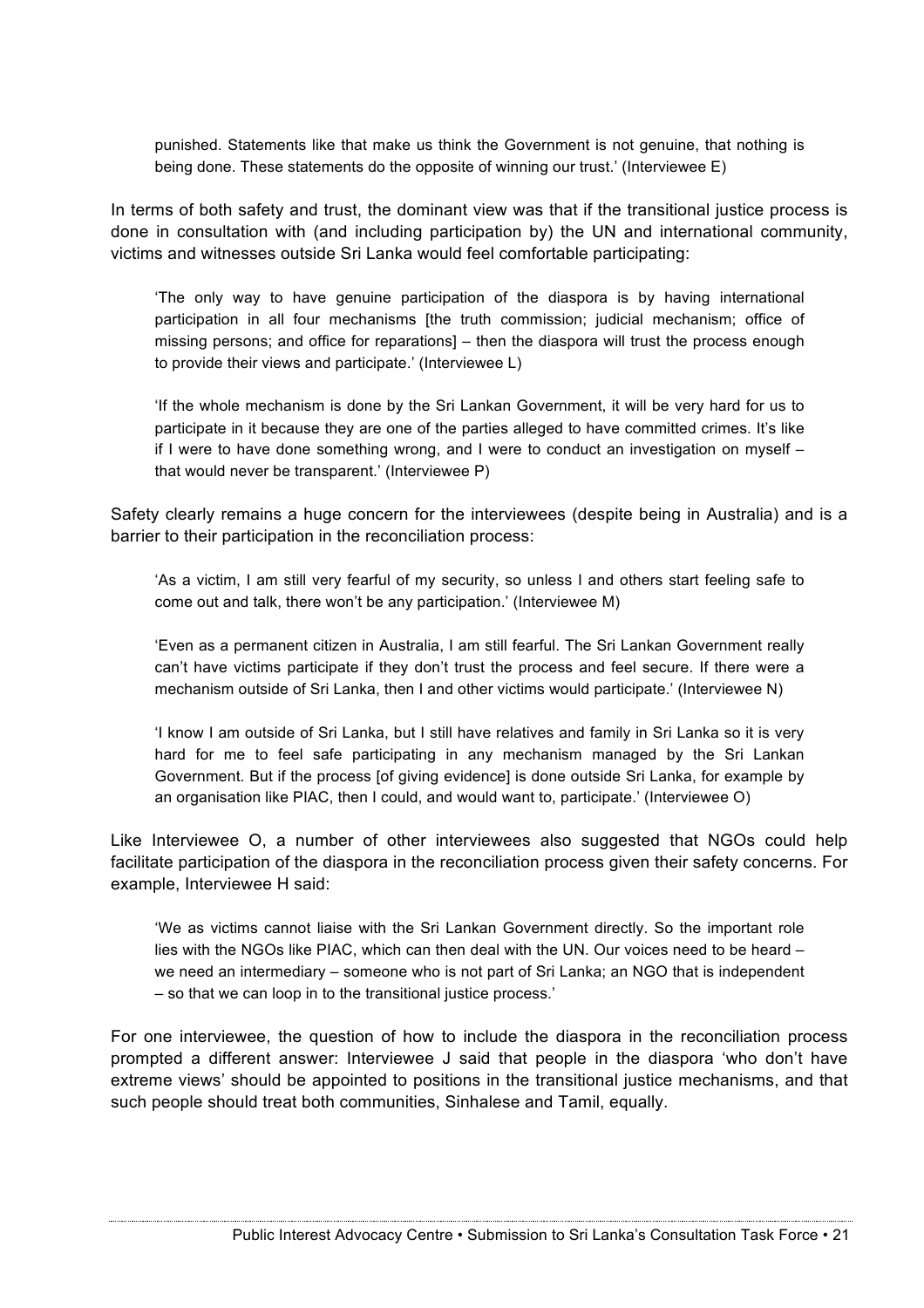punished. Statements like that make us think the Government is not genuine, that nothing is being done. These statements do the opposite of winning our trust.' (Interviewee E)

In terms of both safety and trust, the dominant view was that if the transitional justice process is done in consultation with (and including participation by) the UN and international community, victims and witnesses outside Sri Lanka would feel comfortable participating:

'The only way to have genuine participation of the diaspora is by having international participation in all four mechanisms [the truth commission; judicial mechanism; office of missing persons; and office for reparations] – then the diaspora will trust the process enough to provide their views and participate.' (Interviewee L)

'If the whole mechanism is done by the Sri Lankan Government, it will be very hard for us to participate in it because they are one of the parties alleged to have committed crimes. It's like if I were to have done something wrong, and I were to conduct an investigation on myself – that would never be transparent.' (Interviewee P)

Safety clearly remains a huge concern for the interviewees (despite being in Australia) and is a barrier to their participation in the reconciliation process:

'As a victim, I am still very fearful of my security, so unless I and others start feeling safe to come out and talk, there won't be any participation.' (Interviewee M)

'Even as a permanent citizen in Australia, I am still fearful. The Sri Lankan Government really can't have victims participate if they don't trust the process and feel secure. If there were a mechanism outside of Sri Lanka, then I and other victims would participate.' (Interviewee N)

'I know I am outside of Sri Lanka, but I still have relatives and family in Sri Lanka so it is very hard for me to feel safe participating in any mechanism managed by the Sri Lankan Government. But if the process [of giving evidence] is done outside Sri Lanka, for example by an organisation like PIAC, then I could, and would want to, participate.' (Interviewee O)

Like Interviewee O, a number of other interviewees also suggested that NGOs could help facilitate participation of the diaspora in the reconciliation process given their safety concerns. For example, Interviewee H said:

'We as victims cannot liaise with the Sri Lankan Government directly. So the important role lies with the NGOs like PIAC, which can then deal with the UN. Our voices need to be heard – we need an intermediary – someone who is not part of Sri Lanka; an NGO that is independent – so that we can loop in to the transitional justice process.'

For one interviewee, the question of how to include the diaspora in the reconciliation process prompted a different answer: Interviewee J said that people in the diaspora 'who don't have extreme views' should be appointed to positions in the transitional justice mechanisms, and that such people should treat both communities, Sinhalese and Tamil, equally.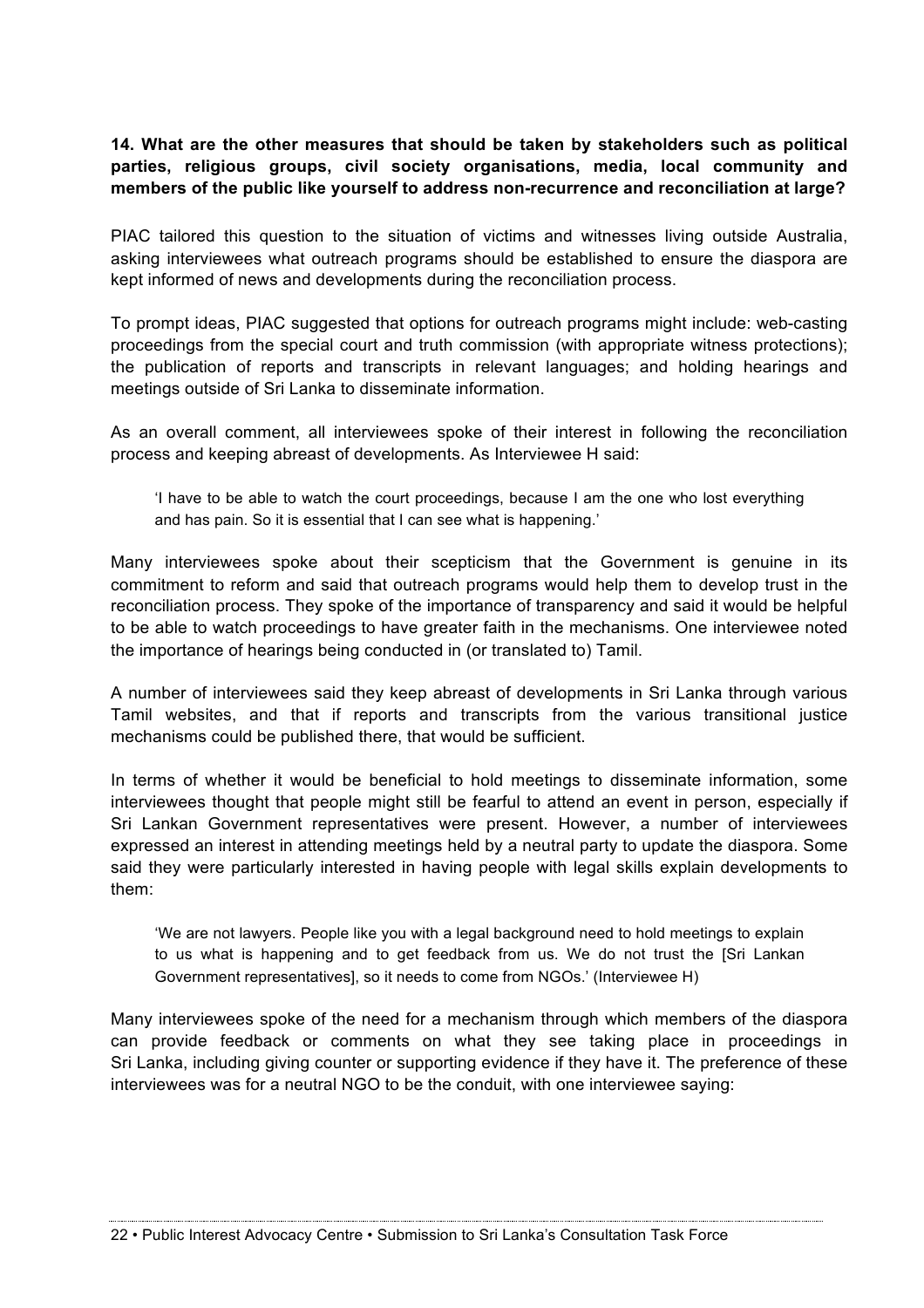**14. What are the other measures that should be taken by stakeholders such as political parties, religious groups, civil society organisations, media, local community and members of the public like yourself to address non-recurrence and reconciliation at large?**

PIAC tailored this question to the situation of victims and witnesses living outside Australia, asking interviewees what outreach programs should be established to ensure the diaspora are kept informed of news and developments during the reconciliation process.

To prompt ideas, PIAC suggested that options for outreach programs might include: web-casting proceedings from the special court and truth commission (with appropriate witness protections); the publication of reports and transcripts in relevant languages; and holding hearings and meetings outside of Sri Lanka to disseminate information.

As an overall comment, all interviewees spoke of their interest in following the reconciliation process and keeping abreast of developments. As Interviewee H said:

'I have to be able to watch the court proceedings, because I am the one who lost everything and has pain. So it is essential that I can see what is happening.'

Many interviewees spoke about their scepticism that the Government is genuine in its commitment to reform and said that outreach programs would help them to develop trust in the reconciliation process. They spoke of the importance of transparency and said it would be helpful to be able to watch proceedings to have greater faith in the mechanisms. One interviewee noted the importance of hearings being conducted in (or translated to) Tamil.

A number of interviewees said they keep abreast of developments in Sri Lanka through various Tamil websites, and that if reports and transcripts from the various transitional justice mechanisms could be published there, that would be sufficient.

In terms of whether it would be beneficial to hold meetings to disseminate information, some interviewees thought that people might still be fearful to attend an event in person, especially if Sri Lankan Government representatives were present. However, a number of interviewees expressed an interest in attending meetings held by a neutral party to update the diaspora. Some said they were particularly interested in having people with legal skills explain developments to them:

'We are not lawyers. People like you with a legal background need to hold meetings to explain to us what is happening and to get feedback from us. We do not trust the [Sri Lankan Government representatives], so it needs to come from NGOs.' (Interviewee H)

Many interviewees spoke of the need for a mechanism through which members of the diaspora can provide feedback or comments on what they see taking place in proceedings in Sri Lanka, including giving counter or supporting evidence if they have it. The preference of these interviewees was for a neutral NGO to be the conduit, with one interviewee saying: